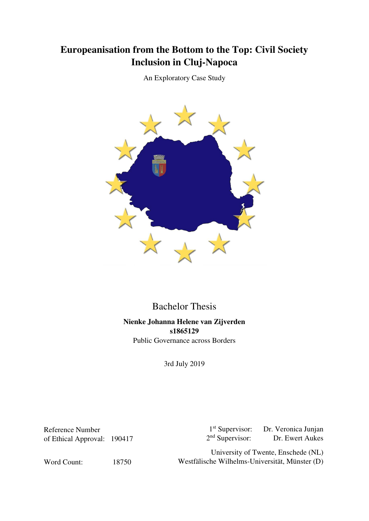# **Europeanisation from the Bottom to the Top: Civil Society Inclusion in Cluj-Napoca**

An Exploratory Case Study



# Bachelor Thesis

**Nienke Johanna Helene van Zijverden s1865129**  Public Governance across Borders

3rd July 2019

Reference Number of Ethical Approval: 190417

 $1<sup>st</sup>$  Supervisor: Dr. Veronica Junjan  $2<sup>nd</sup>$  Supervisor: Dr. Ewert Aukes

University of Twente, Enschede (NL) Westfälische Wilhelms-Universität, Münster (D)

Word Count: 18750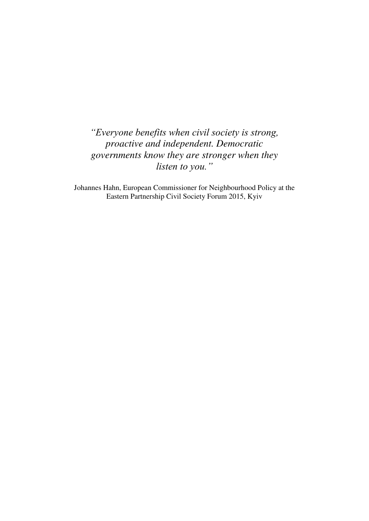*"Everyone benefits when civil society is strong, proactive and independent. Democratic governments know they are stronger when they listen to you."*

Johannes Hahn, European Commissioner for Neighbourhood Policy at the Eastern Partnership Civil Society Forum 2015, Kyiv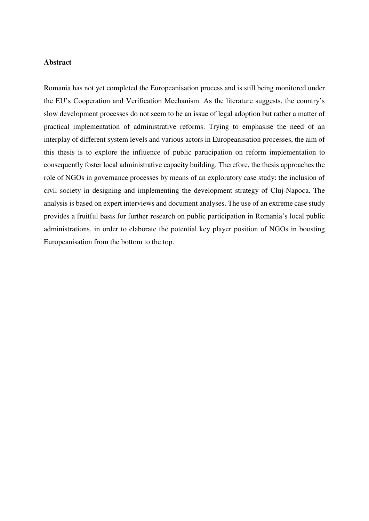#### **Abstract**

Romania has not yet completed the Europeanisation process and is still being monitored under the EU's Cooperation and Verification Mechanism. As the literature suggests, the country's slow development processes do not seem to be an issue of legal adoption but rather a matter of practical implementation of administrative reforms. Trying to emphasise the need of an interplay of different system levels and various actors in Europeanisation processes, the aim of this thesis is to explore the influence of public participation on reform implementation to consequently foster local administrative capacity building. Therefore, the thesis approaches the role of NGOs in governance processes by means of an exploratory case study: the inclusion of civil society in designing and implementing the development strategy of Cluj-Napoca. The analysis is based on expert interviews and document analyses. The use of an extreme case study provides a fruitful basis for further research on public participation in Romania's local public administrations, in order to elaborate the potential key player position of NGOs in boosting Europeanisation from the bottom to the top.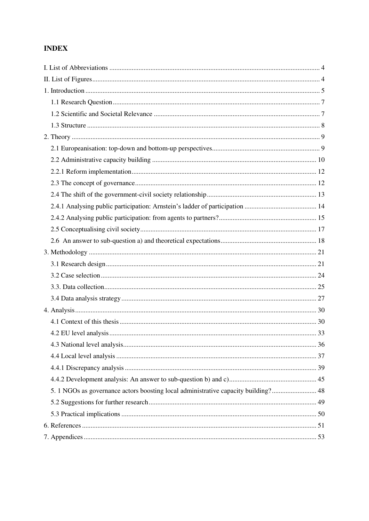# **INDEX**

| 5. 1 NGOs as governance actors boosting local administrative capacity building? 48 |  |
|------------------------------------------------------------------------------------|--|
|                                                                                    |  |
|                                                                                    |  |
|                                                                                    |  |
|                                                                                    |  |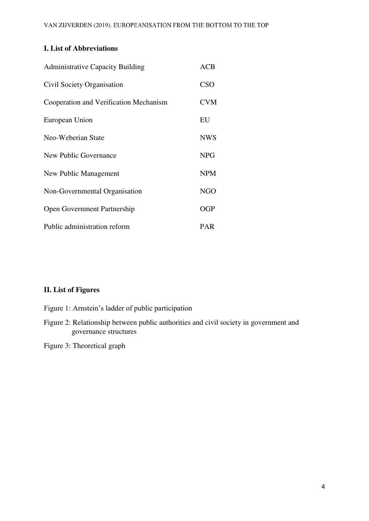## <span id="page-4-0"></span>**I. List of Abbreviations**

| <b>Administrative Capacity Building</b> | ACB        |
|-----------------------------------------|------------|
| Civil Society Organisation              | <b>CSO</b> |
| Cooperation and Verification Mechanism  | <b>CVM</b> |
| European Union                          | EU         |
| Neo-Weberian State                      | <b>NWS</b> |
| New Public Governance                   | <b>NPG</b> |
| New Public Management                   | <b>NPM</b> |
| Non-Governmental Organisation           | <b>NGO</b> |
| <b>Open Government Partnership</b>      | <b>OGP</b> |
| Public administration reform            | <b>PAR</b> |

# <span id="page-4-1"></span>**II. List of Figures**

|  | Figure 1: Arnstein's ladder of public participation |  |  |  |
|--|-----------------------------------------------------|--|--|--|
|  |                                                     |  |  |  |

Figure 2: Relationship between public authorities and civil society in government and governance structures

Figure 3: Theoretical graph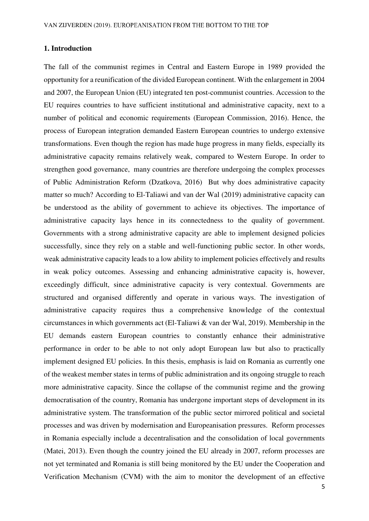#### <span id="page-5-0"></span>**1. Introduction**

The fall of the communist regimes in Central and Eastern Europe in 1989 provided the opportunity for a reunification of the divided European continent. With the enlargement in 2004 and 2007, the European Union (EU) integrated ten post-communist countries. Accession to the EU requires countries to have sufficient institutional and administrative capacity, next to a number of political and economic requirements (European Commission, 2016). Hence, the process of European integration demanded Eastern European countries to undergo extensive transformations. Even though the region has made huge progress in many fields, especially its administrative capacity remains relatively weak, compared to Western Europe. In order to strengthen good governance, many countries are therefore undergoing the complex processes of Public Administration Reform (Dzatkova, 2016) But why does administrative capacity matter so much? According to El-Taliawi and van der Wal (2019) administrative capacity can be understood as the ability of government to achieve its objectives. The importance of administrative capacity lays hence in its connectedness to the quality of government. Governments with a strong administrative capacity are able to implement designed policies successfully, since they rely on a stable and well-functioning public sector. In other words, weak administrative capacity leads to a low ability to implement policies effectively and results in weak policy outcomes. Assessing and enhancing administrative capacity is, however, exceedingly difficult, since administrative capacity is very contextual. Governments are structured and organised differently and operate in various ways. The investigation of administrative capacity requires thus a comprehensive knowledge of the contextual circumstances in which governments act (El-Taliawi & van der Wal, 2019). Membership in the EU demands eastern European countries to constantly enhance their administrative performance in order to be able to not only adopt European law but also to practically implement designed EU policies. In this thesis, emphasis is laid on Romania as currently one of the weakest member states in terms of public administration and its ongoing struggle to reach more administrative capacity. Since the collapse of the communist regime and the growing democratisation of the country, Romania has undergone important steps of development in its administrative system. The transformation of the public sector mirrored political and societal processes and was driven by modernisation and Europeanisation pressures. Reform processes in Romania especially include a decentralisation and the consolidation of local governments (Matei, 2013). Even though the country joined the EU already in 2007, reform processes are not yet terminated and Romania is still being monitored by the EU under the Cooperation and Verification Mechanism (CVM) with the aim to monitor the development of an effective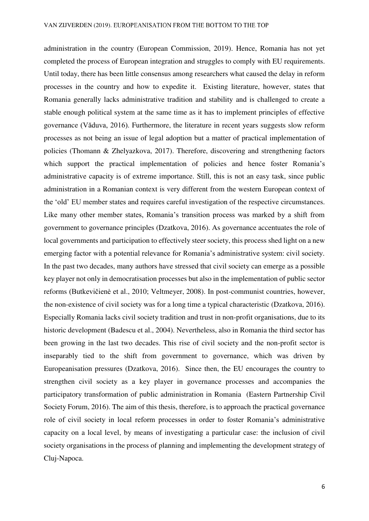administration in the country (European Commission, 2019). Hence, Romania has not yet completed the process of European integration and struggles to comply with EU requirements. Until today, there has been little consensus among researchers what caused the delay in reform processes in the country and how to expedite it. Existing literature, however, states that Romania generally lacks administrative tradition and stability and is challenged to create a stable enough political system at the same time as it has to implement principles of effective governance (Văduva, 2016). Furthermore, the literature in recent years suggests slow reform processes as not being an issue of legal adoption but a matter of practical implementation of policies (Thomann & Zhelyazkova, 2017). Therefore, discovering and strengthening factors which support the practical implementation of policies and hence foster Romania's administrative capacity is of extreme importance. Still, this is not an easy task, since public administration in a Romanian context is very different from the western European context of the 'old' EU member states and requires careful investigation of the respective circumstances. Like many other member states, Romania's transition process was marked by a shift from government to governance principles (Dzatkova, 2016). As governance accentuates the role of local governments and participation to effectively steer society, this process shed light on a new emerging factor with a potential relevance for Romania's administrative system: civil society. In the past two decades, many authors have stressed that civil society can emerge as a possible key player not only in democratisation processes but also in the implementation of public sector reforms (Butkevičienė et al., 2010; Veltmeyer, 2008). In post-communist countries, however, the non-existence of civil society was for a long time a typical characteristic (Dzatkova, 2016). Especially Romania lacks civil society tradition and trust in non-profit organisations, due to its historic development (Badescu et al., 2004). Nevertheless, also in Romania the third sector has been growing in the last two decades. This rise of civil society and the non-profit sector is inseparably tied to the shift from government to governance, which was driven by Europeanisation pressures (Dzatkova, 2016). Since then, the EU encourages the country to strengthen civil society as a key player in governance processes and accompanies the participatory transformation of public administration in Romania (Eastern Partnership Civil Society Forum, 2016). The aim of this thesis, therefore, is to approach the practical governance role of civil society in local reform processes in order to foster Romania's administrative capacity on a local level, by means of investigating a particular case: the inclusion of civil society organisations in the process of planning and implementing the development strategy of Cluj-Napoca.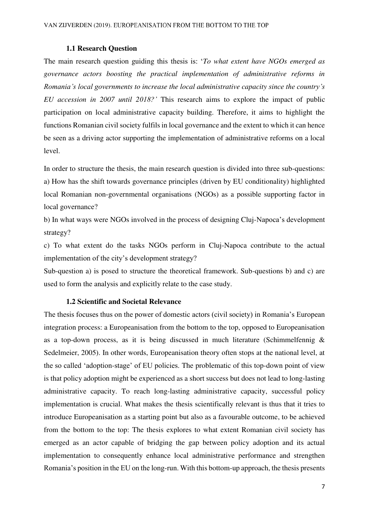#### **1.1 Research Question**

<span id="page-7-0"></span>The main research question guiding this thesis is: '*To what extent have NGOs emerged as governance actors boosting the practical implementation of administrative reforms in Romania's local governments to increase the local administrative capacity since the country's EU accession in 2007 until 2018?'* This research aims to explore the impact of public participation on local administrative capacity building. Therefore, it aims to highlight the functions Romanian civil society fulfils in local governance and the extent to which it can hence be seen as a driving actor supporting the implementation of administrative reforms on a local level.

In order to structure the thesis, the main research question is divided into three sub-questions: a) How has the shift towards governance principles (driven by EU conditionality) highlighted local Romanian non-governmental organisations (NGOs) as a possible supporting factor in local governance?

b) In what ways were NGOs involved in the process of designing Cluj-Napoca's development strategy?

c) To what extent do the tasks NGOs perform in Cluj-Napoca contribute to the actual implementation of the city's development strategy?

Sub-question a) is posed to structure the theoretical framework. Sub-questions b) and c) are used to form the analysis and explicitly relate to the case study.

#### **1.2 Scientific and Societal Relevance**

<span id="page-7-1"></span>The thesis focuses thus on the power of domestic actors (civil society) in Romania's European integration process: a Europeanisation from the bottom to the top, opposed to Europeanisation as a top-down process, as it is being discussed in much literature (Schimmelfennig  $\&$ Sedelmeier, 2005). In other words, Europeanisation theory often stops at the national level, at the so called 'adoption-stage' of EU policies. The problematic of this top-down point of view is that policy adoption might be experienced as a short success but does not lead to long-lasting administrative capacity. To reach long-lasting administrative capacity, successful policy implementation is crucial. What makes the thesis scientifically relevant is thus that it tries to introduce Europeanisation as a starting point but also as a favourable outcome, to be achieved from the bottom to the top: The thesis explores to what extent Romanian civil society has emerged as an actor capable of bridging the gap between policy adoption and its actual implementation to consequently enhance local administrative performance and strengthen Romania's position in the EU on the long-run. With this bottom-up approach, the thesis presents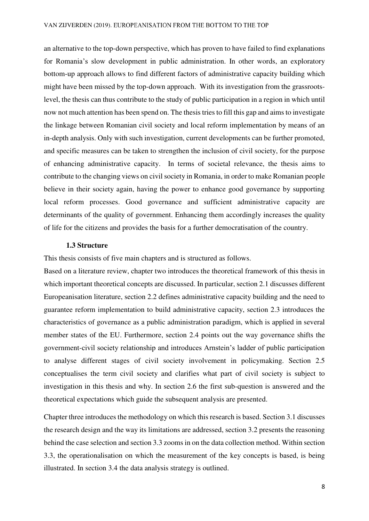an alternative to the top-down perspective, which has proven to have failed to find explanations for Romania's slow development in public administration. In other words, an exploratory bottom-up approach allows to find different factors of administrative capacity building which might have been missed by the top-down approach. With its investigation from the grassrootslevel, the thesis can thus contribute to the study of public participation in a region in which until now not much attention has been spend on. The thesis tries to fill this gap and aims to investigate the linkage between Romanian civil society and local reform implementation by means of an in-depth analysis. Only with such investigation, current developments can be further promoted, and specific measures can be taken to strengthen the inclusion of civil society, for the purpose of enhancing administrative capacity. In terms of societal relevance, the thesis aims to contribute to the changing views on civil society in Romania, in order to make Romanian people believe in their society again, having the power to enhance good governance by supporting local reform processes. Good governance and sufficient administrative capacity are determinants of the quality of government. Enhancing them accordingly increases the quality of life for the citizens and provides the basis for a further democratisation of the country.

#### **1.3 Structure**

<span id="page-8-0"></span>This thesis consists of five main chapters and is structured as follows.

Based on a literature review, chapter two introduces the theoretical framework of this thesis in which important theoretical concepts are discussed. In particular, section 2.1 discusses different Europeanisation literature, section 2.2 defines administrative capacity building and the need to guarantee reform implementation to build administrative capacity, section 2.3 introduces the characteristics of governance as a public administration paradigm, which is applied in several member states of the EU. Furthermore, section 2.4 points out the way governance shifts the government-civil society relationship and introduces Arnstein's ladder of public participation to analyse different stages of civil society involvement in policymaking. Section 2.5 conceptualises the term civil society and clarifies what part of civil society is subject to investigation in this thesis and why. In section 2.6 the first sub-question is answered and the theoretical expectations which guide the subsequent analysis are presented.

Chapter three introduces the methodology on which this research is based. Section 3.1 discusses the research design and the way its limitations are addressed, section 3.2 presents the reasoning behind the case selection and section 3.3 zooms in on the data collection method. Within section 3.3, the operationalisation on which the measurement of the key concepts is based, is being illustrated. In section 3.4 the data analysis strategy is outlined.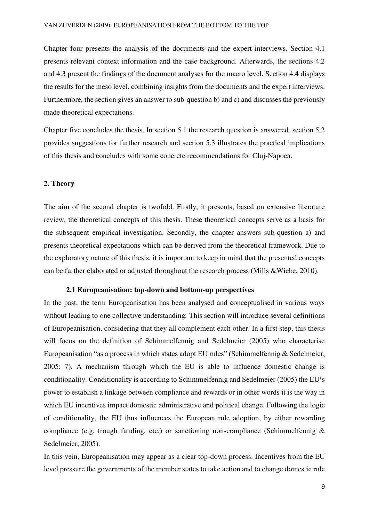Chapter four presents the analysis of the documents and the expert interviews. Section 4.1 presents relevant context information and the case background. Afterwards, the sections 4.2 and 4.3 present the findings of the document analyses for the macro level. Section 4.4 displays the results for the meso level, combining insights from the documents and the expert interviews. Furthermore, the section gives an answer to sub-question b) and c) and discusses the previously made theoretical expectations.

Chapter five concludes the thesis. In section 5.1 the research question is answered, section 5.2 provides suggestions for further research and section 5.3 illustrates the practical implications of this thesis and concludes with some concrete recommendations for Cluj-Napoca.

#### <span id="page-9-0"></span>**2. Theory**

The aim of the second chapter is twofold. Firstly, it presents, based on extensive literature review, the theoretical concepts of this thesis. These theoretical concepts serve as a basis for the subsequent empirical investigation. Secondly, the chapter answers sub-question a) and presents theoretical expectations which can be derived from the theoretical framework. Due to the exploratory nature of this thesis, it is important to keep in mind that the presented concepts can be further elaborated or adjusted throughout the research process (Mills &Wiebe, 2010).

#### **2.1 Europeanisation: top-down and bottom-up perspectives**

<span id="page-9-1"></span>In the past, the term Europeanisation has been analysed and conceptualised in various ways without leading to one collective understanding*.* This section will introduce several definitions of Europeanisation, considering that they all complement each other. In a first step, this thesis will focus on the definition of Schimmelfennig and Sedelmeier (2005) who characterise Europeanisation "as a process in which states adopt EU rules" (Schimmelfennig & Sedelmeier, 2005: 7). A mechanism through which the EU is able to influence domestic change is conditionality. Conditionality is according to Schimmelfennig and Sedelmeier (2005) the EU's power to establish a linkage between compliance and rewards or in other words it is the way in which EU incentives impact domestic administrative and political change. Following the logic of conditionality, the EU thus influences the European rule adoption, by either rewarding compliance (e.g. trough funding, etc.) or sanctioning non-compliance (Schimmelfennig  $\&$ Sedelmeier, 2005).

In this vein, Europeanisation may appear as a clear top-down process. Incentives from the EU level pressure the governments of the member states to take action and to change domestic rule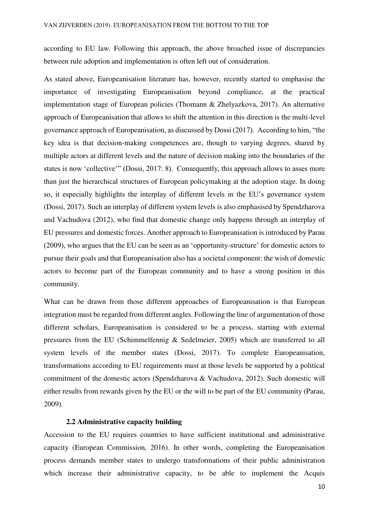according to EU law. Following this approach, the above broached issue of discrepancies between rule adoption and implementation is often left out of consideration.

As stated above, Europeanisation literature has, however, recently started to emphasise the importance of investigating Europeanisation beyond compliance, at the practical implementation stage of European policies (Thomann & Zhelyazkova, 2017). An alternative approach of Europeanisation that allows to shift the attention in this direction is the multi-level governance approach of Europeanisation, as discussed by Dossi (2017). According to him, "the key idea is that decision-making competences are, though to varying degrees, shared by multiple actors at different levels and the nature of decision making into the boundaries of the states is now 'collective'" (Dossi, 2017: 8). Consequently, this approach allows to asses more than just the hierarchical structures of European policymaking at the adoption stage. In doing so, it especially highlights the interplay of different levels in the EU's governance system (Dossi, 2017). Such an interplay of different system levels is also emphasised by Spendzharova and Vachudova (2012), who find that domestic change only happens through an interplay of EU pressures and domestic forces. Another approach to Europeanisation is introduced by Parau (2009), who argues that the EU can be seen as an 'opportunity-structure' for domestic actors to pursue their goals and that Europeanisation also has a societal component: the wish of domestic actors to become part of the European community and to have a strong position in this community.

What can be drawn from those different approaches of Europeanisation is that European integration must be regarded from different angles. Following the line of argumentation of those different scholars, Europeanisation is considered to be a process, starting with external pressures from the EU (Schimmelfennig & Sedelmeier, 2005) which are transferred to all system levels of the member states (Dossi, 2017). To complete Europeanisation, transformations according to EU requirements must at those levels be supported by a political commitment of the domestic actors (Spendzharova & Vachudova, 2012). Such domestic will either results from rewards given by the EU or the will to be part of the EU community (Parau, 2009).

#### **2.2 Administrative capacity building**

<span id="page-10-0"></span>Accession to the EU requires countries to have sufficient institutional and administrative capacity (European Commission, 2016). In other words, completing the Europeanisation process demands member states to undergo transformations of their public administration which increase their administrative capacity, to be able to implement the Acquis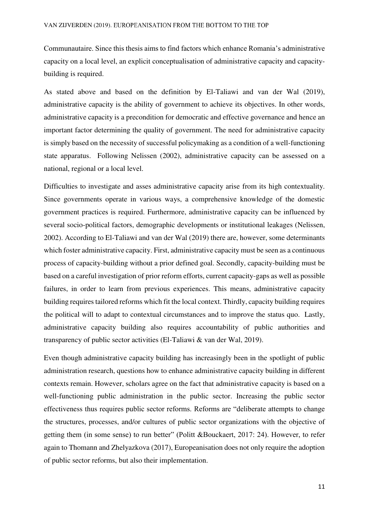Communautaire. Since this thesis aims to find factors which enhance Romania's administrative capacity on a local level, an explicit conceptualisation of administrative capacity and capacitybuilding is required.

As stated above and based on the definition by El-Taliawi and van der Wal (2019), administrative capacity is the ability of government to achieve its objectives. In other words, administrative capacity is a precondition for democratic and effective governance and hence an important factor determining the quality of government. The need for administrative capacity is simply based on the necessity of successful policymaking as a condition of a well-functioning state apparatus. Following Nelissen (2002), administrative capacity can be assessed on a national, regional or a local level.

Difficulties to investigate and asses administrative capacity arise from its high contextuality. Since governments operate in various ways, a comprehensive knowledge of the domestic government practices is required. Furthermore, administrative capacity can be influenced by several socio-political factors, demographic developments or institutional leakages (Nelissen, 2002). According to El-Taliawi and van der Wal (2019) there are, however, some determinants which foster administrative capacity. First, administrative capacity must be seen as a continuous process of capacity-building without a prior defined goal. Secondly, capacity-building must be based on a careful investigation of prior reform efforts, current capacity-gaps as well as possible failures, in order to learn from previous experiences. This means, administrative capacity building requires tailored reforms which fit the local context. Thirdly, capacity building requires the political will to adapt to contextual circumstances and to improve the status quo. Lastly, administrative capacity building also requires accountability of public authorities and transparency of public sector activities (El-Taliawi & van der Wal, 2019).

Even though administrative capacity building has increasingly been in the spotlight of public administration research, questions how to enhance administrative capacity building in different contexts remain. However, scholars agree on the fact that administrative capacity is based on a well-functioning public administration in the public sector. Increasing the public sector effectiveness thus requires public sector reforms. Reforms are "deliberate attempts to change the structures, processes, and/or cultures of public sector organizations with the objective of getting them (in some sense) to run better" (Politt &Bouckaert, 2017: 24). However, to refer again to Thomann and Zhelyazkova (2017), Europeanisation does not only require the adoption of public sector reforms, but also their implementation.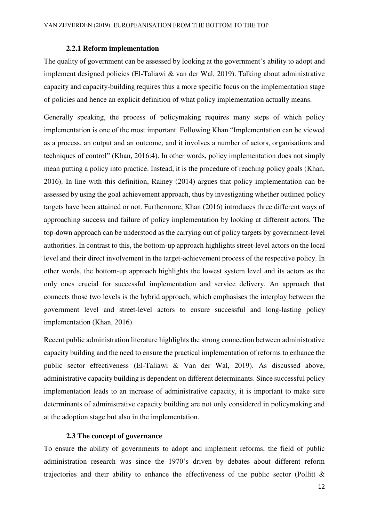#### **2.2.1 Reform implementation**

<span id="page-12-0"></span>The quality of government can be assessed by looking at the government's ability to adopt and implement designed policies (El-Taliawi & van der Wal, 2019). Talking about administrative capacity and capacity-building requires thus a more specific focus on the implementation stage of policies and hence an explicit definition of what policy implementation actually means.

Generally speaking, the process of policymaking requires many steps of which policy implementation is one of the most important. Following Khan "Implementation can be viewed as a process, an output and an outcome, and it involves a number of actors, organisations and techniques of control" (Khan, 2016:4). In other words, policy implementation does not simply mean putting a policy into practice. Instead, it is the procedure of reaching policy goals (Khan, 2016). In line with this definition, Rainey (2014) argues that policy implementation can be assessed by using the goal achievement approach, thus by investigating whether outlined policy targets have been attained or not. Furthermore, Khan (2016) introduces three different ways of approaching success and failure of policy implementation by looking at different actors. The top-down approach can be understood as the carrying out of policy targets by government-level authorities. In contrast to this, the bottom-up approach highlights street-level actors on the local level and their direct involvement in the target-achievement process of the respective policy. In other words, the bottom-up approach highlights the lowest system level and its actors as the only ones crucial for successful implementation and service delivery. An approach that connects those two levels is the hybrid approach, which emphasises the interplay between the government level and street-level actors to ensure successful and long-lasting policy implementation (Khan, 2016).

Recent public administration literature highlights the strong connection between administrative capacity building and the need to ensure the practical implementation of reforms to enhance the public sector effectiveness (El-Taliawi & Van der Wal, 2019). As discussed above, administrative capacity building is dependent on different determinants. Since successful policy implementation leads to an increase of administrative capacity, it is important to make sure determinants of administrative capacity building are not only considered in policymaking and at the adoption stage but also in the implementation.

#### **2.3 The concept of governance**

<span id="page-12-1"></span>To ensure the ability of governments to adopt and implement reforms, the field of public administration research was since the 1970's driven by debates about different reform trajectories and their ability to enhance the effectiveness of the public sector (Pollitt &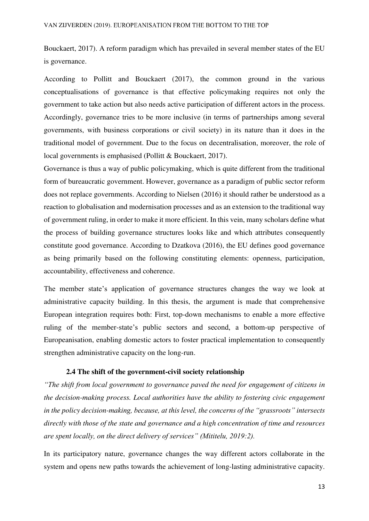Bouckaert, 2017). A reform paradigm which has prevailed in several member states of the EU is governance.

According to Pollitt and Bouckaert (2017), the common ground in the various conceptualisations of governance is that effective policymaking requires not only the government to take action but also needs active participation of different actors in the process. Accordingly, governance tries to be more inclusive (in terms of partnerships among several governments, with business corporations or civil society) in its nature than it does in the traditional model of government. Due to the focus on decentralisation, moreover, the role of local governments is emphasised (Pollitt & Bouckaert, 2017).

Governance is thus a way of public policymaking, which is quite different from the traditional form of bureaucratic government. However, governance as a paradigm of public sector reform does not replace governments. According to Nielsen (2016) it should rather be understood as a reaction to globalisation and modernisation processes and as an extension to the traditional way of government ruling, in order to make it more efficient. In this vein, many scholars define what the process of building governance structures looks like and which attributes consequently constitute good governance. According to Dzatkova (2016), the EU defines good governance as being primarily based on the following constituting elements: openness, participation, accountability, effectiveness and coherence.

The member state's application of governance structures changes the way we look at administrative capacity building. In this thesis, the argument is made that comprehensive European integration requires both: First, top-down mechanisms to enable a more effective ruling of the member-state's public sectors and second, a bottom-up perspective of Europeanisation, enabling domestic actors to foster practical implementation to consequently strengthen administrative capacity on the long-run.

## **2.4 The shift of the government-civil society relationship**

<span id="page-13-0"></span>*"The shift from local government to governance paved the need for engagement of citizens in the decision-making process. Local authorities have the ability to fostering civic engagement in the policy decision-making, because, at this level, the concerns of the "grassroots" intersects directly with those of the state and governance and a high concentration of time and resources are spent locally, on the direct delivery of services" (Mititelu, 2019:2).*

In its participatory nature, governance changes the way different actors collaborate in the system and opens new paths towards the achievement of long-lasting administrative capacity.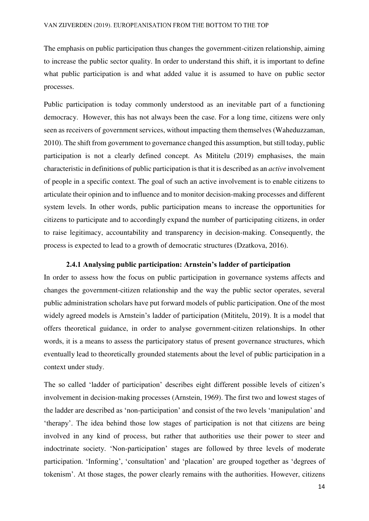The emphasis on public participation thus changes the government-citizen relationship, aiming to increase the public sector quality. In order to understand this shift, it is important to define what public participation is and what added value it is assumed to have on public sector processes.

Public participation is today commonly understood as an inevitable part of a functioning democracy. However, this has not always been the case. For a long time, citizens were only seen as receivers of government services, without impacting them themselves (Waheduzzaman, 2010). The shift from government to governance changed this assumption, but still today, public participation is not a clearly defined concept. As Mititelu (2019) emphasises, the main characteristic in definitions of public participation is that it is described as an *active* involvement of people in a specific context. The goal of such an active involvement is to enable citizens to articulate their opinion and to influence and to monitor decision-making processes and different system levels. In other words, public participation means to increase the opportunities for citizens to participate and to accordingly expand the number of participating citizens, in order to raise legitimacy, accountability and transparency in decision-making. Consequently, the process is expected to lead to a growth of democratic structures (Dzatkova, 2016).

#### **2.4.1 Analysing public participation: Arnstein's ladder of participation**

<span id="page-14-0"></span>In order to assess how the focus on public participation in governance systems affects and changes the government-citizen relationship and the way the public sector operates, several public administration scholars have put forward models of public participation. One of the most widely agreed models is Arnstein's ladder of participation (Mititelu, 2019). It is a model that offers theoretical guidance, in order to analyse government-citizen relationships. In other words, it is a means to assess the participatory status of present governance structures, which eventually lead to theoretically grounded statements about the level of public participation in a context under study.

The so called 'ladder of participation' describes eight different possible levels of citizen's involvement in decision-making processes (Arnstein, 1969). The first two and lowest stages of the ladder are described as 'non-participation' and consist of the two levels 'manipulation' and 'therapy'. The idea behind those low stages of participation is not that citizens are being involved in any kind of process, but rather that authorities use their power to steer and indoctrinate society. 'Non-participation' stages are followed by three levels of moderate participation. 'Informing', 'consultation' and 'placation' are grouped together as 'degrees of tokenism'. At those stages, the power clearly remains with the authorities. However, citizens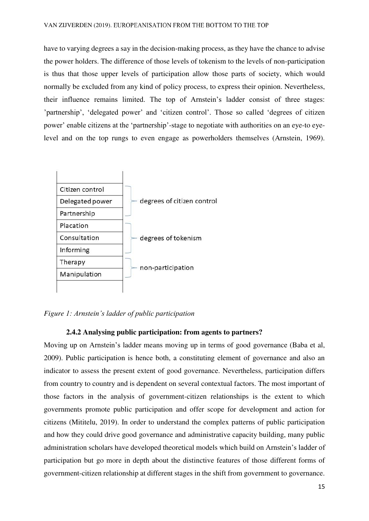#### VAN ZIJVERDEN (2019). EUROPEANISATION FROM THE BOTTOM TO THE TOP

have to varying degrees a say in the decision-making process, as they have the chance to advise the power holders. The difference of those levels of tokenism to the levels of non-participation is thus that those upper levels of participation allow those parts of society, which would normally be excluded from any kind of policy process, to express their opinion. Nevertheless, their influence remains limited. The top of Arnstein's ladder consist of three stages: 'partnership', 'delegated power' and 'citizen control'. Those so called 'degrees of citizen power' enable citizens at the 'partnership'-stage to negotiate with authorities on an eye-to eyelevel and on the top rungs to even engage as powerholders themselves (Arnstein, 1969).



*Figure 1: Arnstein's ladder of public participation* 

#### **2.4.2 Analysing public participation: from agents to partners?**

<span id="page-15-0"></span>Moving up on Arnstein's ladder means moving up in terms of good governance (Baba et al, 2009). Public participation is hence both, a constituting element of governance and also an indicator to assess the present extent of good governance. Nevertheless, participation differs from country to country and is dependent on several contextual factors. The most important of those factors in the analysis of government-citizen relationships is the extent to which governments promote public participation and offer scope for development and action for citizens (Mititelu, 2019). In order to understand the complex patterns of public participation and how they could drive good governance and administrative capacity building, many public administration scholars have developed theoretical models which build on Arnstein's ladder of participation but go more in depth about the distinctive features of those different forms of government-citizen relationship at different stages in the shift from government to governance.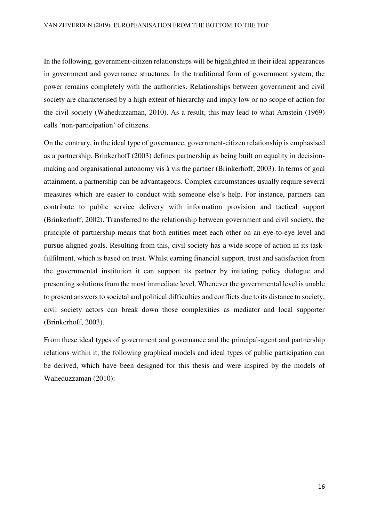In the following, government-citizen relationships will be highlighted in their ideal appearances in government and governance structures. In the traditional form of government system, the power remains completely with the authorities. Relationships between government and civil society are characterised by a high extent of hierarchy and imply low or no scope of action for the civil society (Waheduzzaman, 2010). As a result, this may lead to what Arnstein (1969) calls 'non-participation' of citizens.

On the contrary, in the ideal type of governance, government-citizen relationship is emphasised as a partnership. Brinkerhoff (2003) defines partnership as being built on equality in decisionmaking and organisational autonomy vis à vis the partner (Brinkerhoff, 2003). In terms of goal attainment, a partnership can be advantageous. Complex circumstances usually require several measures which are easier to conduct with someone else's help. For instance, partners can contribute to public service delivery with information provision and tactical support (Brinkerhoff, 2002). Transferred to the relationship between government and civil society, the principle of partnership means that both entities meet each other on an eye-to-eye level and pursue aligned goals. Resulting from this, civil society has a wide scope of action in its taskfulfilment, which is based on trust. Whilst earning financial support, trust and satisfaction from the governmental institution it can support its partner by initiating policy dialogue and presenting solutions from the most immediate level. Whenever the governmental level is unable to present answers to societal and political difficulties and conflicts due to its distance to society, civil society actors can break down those complexities as mediator and local supporter (Brinkerhoff, 2003).

From these ideal types of government and governance and the principal-agent and partnership relations within it, the following graphical models and ideal types of public participation can be derived, which have been designed for this thesis and were inspired by the models of Waheduzzaman (2010):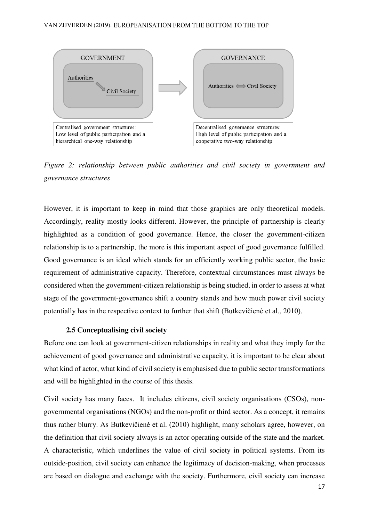

*Figure 2: relationship between public authorities and civil society in government and governance structures* 

However, it is important to keep in mind that those graphics are only theoretical models. Accordingly, reality mostly looks different. However, the principle of partnership is clearly highlighted as a condition of good governance. Hence, the closer the government-citizen relationship is to a partnership, the more is this important aspect of good governance fulfilled. Good governance is an ideal which stands for an efficiently working public sector, the basic requirement of administrative capacity. Therefore, contextual circumstances must always be considered when the government-citizen relationship is being studied, in order to assess at what stage of the government-governance shift a country stands and how much power civil society potentially has in the respective context to further that shift (Butkevičienė et al., 2010).

## **2.5 Conceptualising civil society**

<span id="page-17-0"></span>Before one can look at government-citizen relationships in reality and what they imply for the achievement of good governance and administrative capacity, it is important to be clear about what kind of actor, what kind of civil society is emphasised due to public sector transformations and will be highlighted in the course of this thesis.

Civil society has many faces. It includes citizens, civil society organisations (CSOs), nongovernmental organisations (NGOs) and the non-profit or third sector. As a concept, it remains thus rather blurry. As Butkevičienė et al. (2010) highlight, many scholars agree, however, on the definition that civil society always is an actor operating outside of the state and the market. A characteristic, which underlines the value of civil society in political systems. From its outside-position, civil society can enhance the legitimacy of decision-making, when processes are based on dialogue and exchange with the society. Furthermore, civil society can increase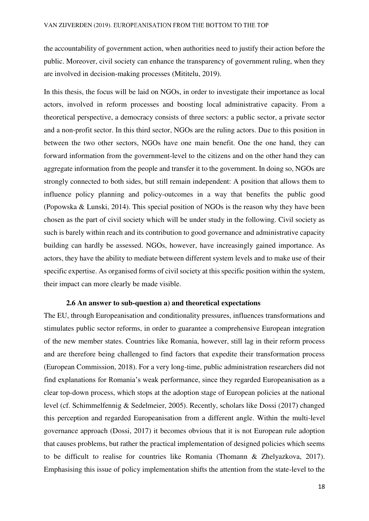the accountability of government action, when authorities need to justify their action before the public. Moreover, civil society can enhance the transparency of government ruling, when they are involved in decision-making processes (Mititelu, 2019).

In this thesis, the focus will be laid on NGOs, in order to investigate their importance as local actors, involved in reform processes and boosting local administrative capacity. From a theoretical perspective, a democracy consists of three sectors: a public sector, a private sector and a non-profit sector. In this third sector, NGOs are the ruling actors. Due to this position in between the two other sectors, NGOs have one main benefit. One the one hand, they can forward information from the government-level to the citizens and on the other hand they can aggregate information from the people and transfer it to the government. In doing so, NGOs are strongly connected to both sides, but still remain independent: A position that allows them to influence policy planning and policy-outcomes in a way that benefits the public good (Popowska & Lunski, 2014). This special position of NGOs is the reason why they have been chosen as the part of civil society which will be under study in the following. Civil society as such is barely within reach and its contribution to good governance and administrative capacity building can hardly be assessed. NGOs, however, have increasingly gained importance. As actors, they have the ability to mediate between different system levels and to make use of their specific expertise. As organised forms of civil society at this specific position within the system, their impact can more clearly be made visible.

#### **2.6 An answer to sub-question a) and theoretical expectations**

<span id="page-18-0"></span>The EU, through Europeanisation and conditionality pressures, influences transformations and stimulates public sector reforms, in order to guarantee a comprehensive European integration of the new member states. Countries like Romania, however, still lag in their reform process and are therefore being challenged to find factors that expedite their transformation process (European Commission, 2018). For a very long-time, public administration researchers did not find explanations for Romania's weak performance, since they regarded Europeanisation as a clear top-down process, which stops at the adoption stage of European policies at the national level (cf. Schimmelfennig & Sedelmeier, 2005). Recently, scholars like Dossi (2017) changed this perception and regarded Europeanisation from a different angle. Within the multi-level governance approach (Dossi, 2017) it becomes obvious that it is not European rule adoption that causes problems, but rather the practical implementation of designed policies which seems to be difficult to realise for countries like Romania (Thomann & Zhelyazkova, 2017). Emphasising this issue of policy implementation shifts the attention from the state-level to the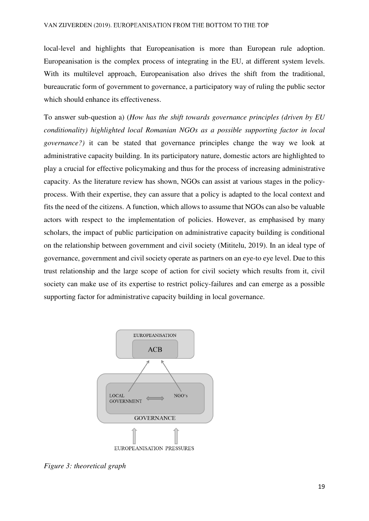local-level and highlights that Europeanisation is more than European rule adoption. Europeanisation is the complex process of integrating in the EU, at different system levels. With its multilevel approach, Europeanisation also drives the shift from the traditional, bureaucratic form of government to governance, a participatory way of ruling the public sector which should enhance its effectiveness.

To answer sub-question a) (*How has the shift towards governance principles (driven by EU conditionality) highlighted local Romanian NGOs as a possible supporting factor in local governance?)* it can be stated that governance principles change the way we look at administrative capacity building. In its participatory nature, domestic actors are highlighted to play a crucial for effective policymaking and thus for the process of increasing administrative capacity. As the literature review has shown, NGOs can assist at various stages in the policyprocess. With their expertise, they can assure that a policy is adapted to the local context and fits the need of the citizens. A function, which allows to assume that NGOs can also be valuable actors with respect to the implementation of policies. However, as emphasised by many scholars, the impact of public participation on administrative capacity building is conditional on the relationship between government and civil society (Mititelu, 2019). In an ideal type of governance, government and civil society operate as partners on an eye-to eye level. Due to this trust relationship and the large scope of action for civil society which results from it, civil society can make use of its expertise to restrict policy-failures and can emerge as a possible supporting factor for administrative capacity building in local governance.



*Figure 3: theoretical graph*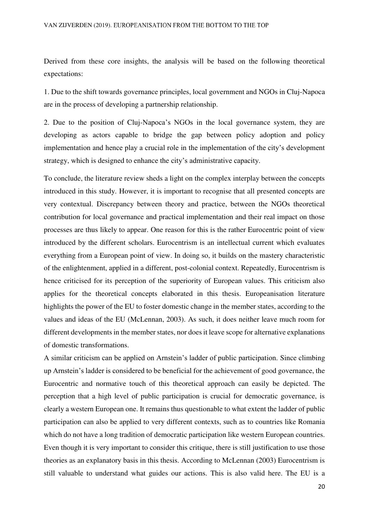Derived from these core insights, the analysis will be based on the following theoretical expectations:

1. Due to the shift towards governance principles, local government and NGOs in Cluj-Napoca are in the process of developing a partnership relationship.

2. Due to the position of Cluj-Napoca's NGOs in the local governance system, they are developing as actors capable to bridge the gap between policy adoption and policy implementation and hence play a crucial role in the implementation of the city's development strategy, which is designed to enhance the city's administrative capacity.

To conclude, the literature review sheds a light on the complex interplay between the concepts introduced in this study. However, it is important to recognise that all presented concepts are very contextual. Discrepancy between theory and practice, between the NGOs theoretical contribution for local governance and practical implementation and their real impact on those processes are thus likely to appear. One reason for this is the rather Eurocentric point of view introduced by the different scholars. Eurocentrism is an intellectual current which evaluates everything from a European point of view. In doing so, it builds on the mastery characteristic of the enlightenment, applied in a different, post-colonial context. Repeatedly, Eurocentrism is hence criticised for its perception of the superiority of European values. This criticism also applies for the theoretical concepts elaborated in this thesis. Europeanisation literature highlights the power of the EU to foster domestic change in the member states, according to the values and ideas of the EU (McLennan, 2003). As such, it does neither leave much room for different developments in the member states, nor does it leave scope for alternative explanations of domestic transformations.

A similar criticism can be applied on Arnstein's ladder of public participation. Since climbing up Arnstein's ladder is considered to be beneficial for the achievement of good governance, the Eurocentric and normative touch of this theoretical approach can easily be depicted. The perception that a high level of public participation is crucial for democratic governance, is clearly a western European one. It remains thus questionable to what extent the ladder of public participation can also be applied to very different contexts, such as to countries like Romania which do not have a long tradition of democratic participation like western European countries. Even though it is very important to consider this critique, there is still justification to use those theories as an explanatory basis in this thesis. According to McLennan (2003) Eurocentrism is still valuable to understand what guides our actions. This is also valid here. The EU is a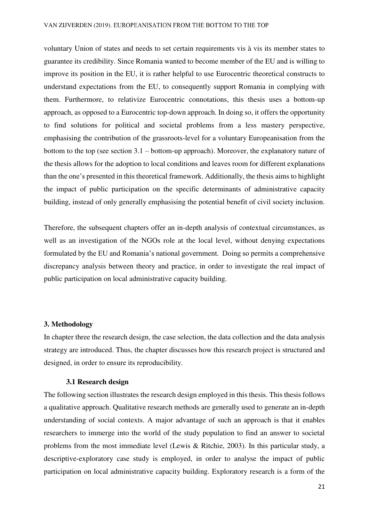voluntary Union of states and needs to set certain requirements vis à vis its member states to guarantee its credibility. Since Romania wanted to become member of the EU and is willing to improve its position in the EU, it is rather helpful to use Eurocentric theoretical constructs to understand expectations from the EU, to consequently support Romania in complying with them. Furthermore, to relativize Eurocentric connotations, this thesis uses a bottom-up approach, as opposed to a Eurocentric top-down approach. In doing so, it offers the opportunity to find solutions for political and societal problems from a less mastery perspective, emphasising the contribution of the grassroots-level for a voluntary Europeanisation from the bottom to the top (see section 3.1 – bottom-up approach). Moreover, the explanatory nature of the thesis allows for the adoption to local conditions and leaves room for different explanations than the one's presented in this theoretical framework. Additionally, the thesis aims to highlight the impact of public participation on the specific determinants of administrative capacity building, instead of only generally emphasising the potential benefit of civil society inclusion.

Therefore, the subsequent chapters offer an in-depth analysis of contextual circumstances, as well as an investigation of the NGOs role at the local level, without denying expectations formulated by the EU and Romania's national government. Doing so permits a comprehensive discrepancy analysis between theory and practice, in order to investigate the real impact of public participation on local administrative capacity building.

### <span id="page-21-0"></span>**3. Methodology**

In chapter three the research design, the case selection, the data collection and the data analysis strategy are introduced. Thus, the chapter discusses how this research project is structured and designed, in order to ensure its reproducibility.

#### **3.1 Research design**

<span id="page-21-1"></span>The following section illustrates the research design employed in this thesis. This thesis follows a qualitative approach. Qualitative research methods are generally used to generate an in-depth understanding of social contexts. A major advantage of such an approach is that it enables researchers to immerge into the world of the study population to find an answer to societal problems from the most immediate level (Lewis & Ritchie, 2003). In this particular study, a descriptive-exploratory case study is employed, in order to analyse the impact of public participation on local administrative capacity building. Exploratory research is a form of the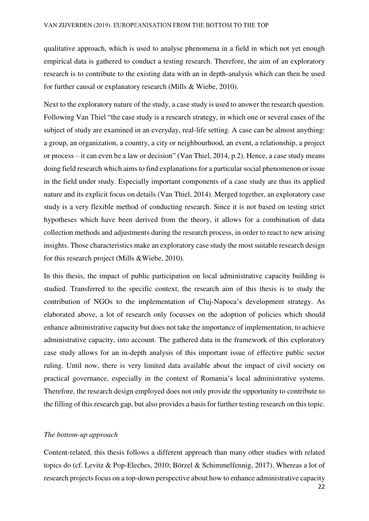qualitative approach, which is used to analyse phenomena in a field in which not yet enough empirical data is gathered to conduct a testing research. Therefore, the aim of an exploratory research is to contribute to the existing data with an in depth-analysis which can then be used for further causal or explanatory research (Mills & Wiebe, 2010).

Next to the exploratory nature of the study, a case study is used to answer the research question. Following Van Thiel "the case study is a research strategy, in which one or several cases of the subject of study are examined in an everyday, real-life setting. A case can be almost anything: a group, an organization, a country, a city or neighbourhood, an event, a relationship, a project or process – it can even be a law or decision" (Van Thiel, 2014, p.2). Hence, a case study means doing field research which aims to find explanations for a particular social phenomenon or issue in the field under study. Especially important components of a case study are thus its applied nature and its explicit focus on details (Van Thiel, 2014). Merged together, an exploratory case study is a very flexible method of conducting research. Since it is not based on testing strict hypotheses which have been derived from the theory, it allows for a combination of data collection methods and adjustments during the research process, in order to react to new arising insights. Those characteristics make an exploratory case study the most suitable research design for this research project (Mills &Wiebe, 2010).

In this thesis, the impact of public participation on local administrative capacity building is studied. Transferred to the specific context, the research aim of this thesis is to study the contribution of NGOs to the implementation of Cluj-Napoca's development strategy. As elaborated above, a lot of research only focusses on the adoption of policies which should enhance administrative capacity but does not take the importance of implementation, to achieve administrative capacity, into account. The gathered data in the framework of this exploratory case study allows for an in-depth analysis of this important issue of effective public sector ruling. Until now, there is very limited data available about the impact of civil society on practical governance, especially in the context of Romania's local administrative systems. Therefore, the research design employed does not only provide the opportunity to contribute to the filling of this research gap, but also provides a basis for further testing research on this topic.

### *The bottom-up approach*

Content-related, this thesis follows a different approach than many other studies with related topics do (cf. Levitz & Pop-Eleches, 2010; Börzel & Schimmelfennig, 2017). Whereas a lot of research projects focus on a top-down perspective about how to enhance administrative capacity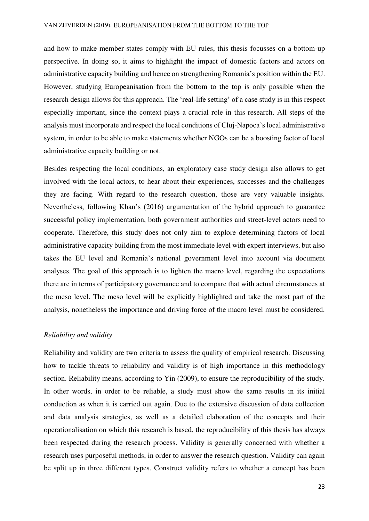and how to make member states comply with EU rules, this thesis focusses on a bottom-up perspective. In doing so, it aims to highlight the impact of domestic factors and actors on administrative capacity building and hence on strengthening Romania's position within the EU. However, studying Europeanisation from the bottom to the top is only possible when the research design allows for this approach. The 'real-life setting' of a case study is in this respect especially important, since the context plays a crucial role in this research. All steps of the analysis must incorporate and respect the local conditions of Cluj-Napoca's local administrative system, in order to be able to make statements whether NGOs can be a boosting factor of local administrative capacity building or not.

Besides respecting the local conditions, an exploratory case study design also allows to get involved with the local actors, to hear about their experiences, successes and the challenges they are facing. With regard to the research question, those are very valuable insights. Nevertheless, following Khan's (2016) argumentation of the hybrid approach to guarantee successful policy implementation, both government authorities and street-level actors need to cooperate. Therefore, this study does not only aim to explore determining factors of local administrative capacity building from the most immediate level with expert interviews, but also takes the EU level and Romania's national government level into account via document analyses. The goal of this approach is to lighten the macro level, regarding the expectations there are in terms of participatory governance and to compare that with actual circumstances at the meso level. The meso level will be explicitly highlighted and take the most part of the analysis, nonetheless the importance and driving force of the macro level must be considered.

#### *Reliability and validity*

Reliability and validity are two criteria to assess the quality of empirical research. Discussing how to tackle threats to reliability and validity is of high importance in this methodology section. Reliability means, according to Yin (2009), to ensure the reproducibility of the study. In other words, in order to be reliable, a study must show the same results in its initial conduction as when it is carried out again. Due to the extensive discussion of data collection and data analysis strategies, as well as a detailed elaboration of the concepts and their operationalisation on which this research is based, the reproducibility of this thesis has always been respected during the research process. Validity is generally concerned with whether a research uses purposeful methods, in order to answer the research question. Validity can again be split up in three different types. Construct validity refers to whether a concept has been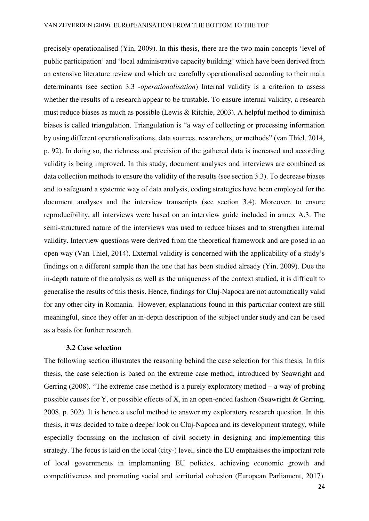precisely operationalised (Yin, 2009). In this thesis, there are the two main concepts 'level of public participation' and 'local administrative capacity building' which have been derived from an extensive literature review and which are carefully operationalised according to their main determinants (see section 3.3 -*operationalisation*) Internal validity is a criterion to assess whether the results of a research appear to be trustable. To ensure internal validity, a research must reduce biases as much as possible (Lewis & Ritchie, 2003). A helpful method to diminish biases is called triangulation. Triangulation is "a way of collecting or processing information by using different operationalizations, data sources, researchers, or methods" (van Thiel, 2014, p. 92). In doing so, the richness and precision of the gathered data is increased and according validity is being improved. In this study, document analyses and interviews are combined as data collection methods to ensure the validity of the results (see section 3.3). To decrease biases and to safeguard a systemic way of data analysis, coding strategies have been employed for the document analyses and the interview transcripts (see section 3.4). Moreover, to ensure reproducibility, all interviews were based on an interview guide included in annex A.3. The semi-structured nature of the interviews was used to reduce biases and to strengthen internal validity. Interview questions were derived from the theoretical framework and are posed in an open way (Van Thiel, 2014). External validity is concerned with the applicability of a study's findings on a different sample than the one that has been studied already (Yin, 2009). Due the in-depth nature of the analysis as well as the uniqueness of the context studied, it is difficult to generalise the results of this thesis. Hence, findings for Cluj-Napoca are not automatically valid for any other city in Romania. However, explanations found in this particular context are still meaningful, since they offer an in-depth description of the subject under study and can be used as a basis for further research.

#### **3.2 Case selection**

<span id="page-24-0"></span>The following section illustrates the reasoning behind the case selection for this thesis. In this thesis, the case selection is based on the extreme case method, introduced by Seawright and Gerring (2008). "The extreme case method is a purely exploratory method – a way of probing possible causes for Y, or possible effects of X, in an open-ended fashion (Seawright & Gerring, 2008, p. 302). It is hence a useful method to answer my exploratory research question. In this thesis, it was decided to take a deeper look on Cluj-Napoca and its development strategy, while especially focussing on the inclusion of civil society in designing and implementing this strategy. The focus is laid on the local (city-) level, since the EU emphasises the important role of local governments in implementing EU policies, achieving economic growth and competitiveness and promoting social and territorial cohesion (European Parliament, 2017).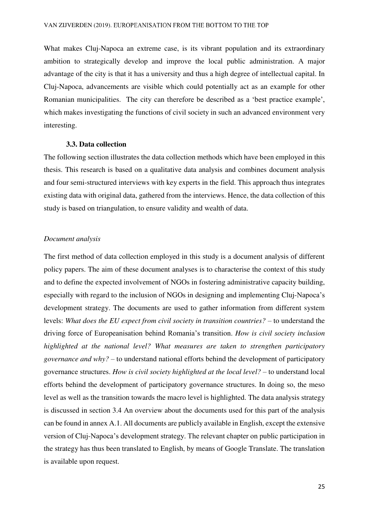What makes Cluj-Napoca an extreme case, is its vibrant population and its extraordinary ambition to strategically develop and improve the local public administration. A major advantage of the city is that it has a university and thus a high degree of intellectual capital. In Cluj-Napoca, advancements are visible which could potentially act as an example for other Romanian municipalities. The city can therefore be described as a 'best practice example', which makes investigating the functions of civil society in such an advanced environment very interesting.

#### **3.3. Data collection**

<span id="page-25-0"></span>The following section illustrates the data collection methods which have been employed in this thesis. This research is based on a qualitative data analysis and combines document analysis and four semi-structured interviews with key experts in the field. This approach thus integrates existing data with original data, gathered from the interviews. Hence, the data collection of this study is based on triangulation, to ensure validity and wealth of data.

#### *Document analysis*

The first method of data collection employed in this study is a document analysis of different policy papers. The aim of these document analyses is to characterise the context of this study and to define the expected involvement of NGOs in fostering administrative capacity building, especially with regard to the inclusion of NGOs in designing and implementing Cluj-Napoca's development strategy. The documents are used to gather information from different system levels: *What does the EU expect from civil society in transition countries?* – to understand the driving force of Europeanisation behind Romania's transition. *How is civil society inclusion highlighted at the national level? What measures are taken to strengthen participatory governance and why?* – to understand national efforts behind the development of participatory governance structures. *How is civil society highlighted at the local level?* – to understand local efforts behind the development of participatory governance structures. In doing so, the meso level as well as the transition towards the macro level is highlighted. The data analysis strategy is discussed in section 3.4 An overview about the documents used for this part of the analysis can be found in annex A.1. All documents are publicly available in English, except the extensive version of Cluj-Napoca's development strategy. The relevant chapter on public participation in the strategy has thus been translated to English, by means of Google Translate. The translation is available upon request.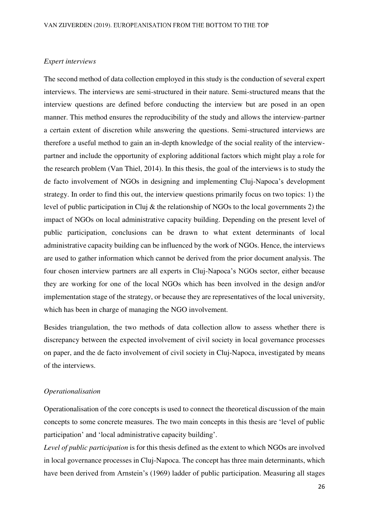## *Expert interviews*

The second method of data collection employed in this study is the conduction of several expert interviews. The interviews are semi-structured in their nature. Semi-structured means that the interview questions are defined before conducting the interview but are posed in an open manner. This method ensures the reproducibility of the study and allows the interview-partner a certain extent of discretion while answering the questions. Semi-structured interviews are therefore a useful method to gain an in-depth knowledge of the social reality of the interviewpartner and include the opportunity of exploring additional factors which might play a role for the research problem (Van Thiel, 2014). In this thesis, the goal of the interviews is to study the de facto involvement of NGOs in designing and implementing Cluj-Napoca's development strategy. In order to find this out, the interview questions primarily focus on two topics: 1) the level of public participation in Cluj & the relationship of NGOs to the local governments 2) the impact of NGOs on local administrative capacity building. Depending on the present level of public participation, conclusions can be drawn to what extent determinants of local administrative capacity building can be influenced by the work of NGOs. Hence, the interviews are used to gather information which cannot be derived from the prior document analysis. The four chosen interview partners are all experts in Cluj-Napoca's NGOs sector, either because they are working for one of the local NGOs which has been involved in the design and/or implementation stage of the strategy, or because they are representatives of the local university, which has been in charge of managing the NGO involvement.

Besides triangulation, the two methods of data collection allow to assess whether there is discrepancy between the expected involvement of civil society in local governance processes on paper, and the de facto involvement of civil society in Cluj-Napoca, investigated by means of the interviews.

## *Operationalisation*

Operationalisation of the core concepts is used to connect the theoretical discussion of the main concepts to some concrete measures. The two main concepts in this thesis are 'level of public participation' and 'local administrative capacity building'.

*Level of public participation* is for this thesis defined as the extent to which NGOs are involved in local governance processes in Cluj-Napoca. The concept has three main determinants, which have been derived from Arnstein's (1969) ladder of public participation. Measuring all stages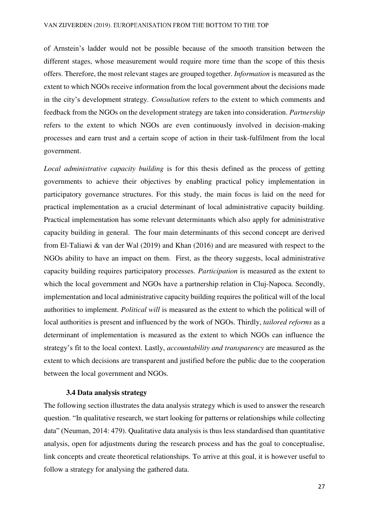of Arnstein's ladder would not be possible because of the smooth transition between the different stages, whose measurement would require more time than the scope of this thesis offers. Therefore, the most relevant stages are grouped together. *Information* is measured as the extent to which NGOs receive information from the local government about the decisions made in the city's development strategy. *Consultation* refers to the extent to which comments and feedback from the NGOs on the development strategy are taken into consideration. *Partnership*  refers to the extent to which NGOs are even continuously involved in decision-making processes and earn trust and a certain scope of action in their task-fulfilment from the local government.

*Local administrative capacity building* is for this thesis defined as the process of getting governments to achieve their objectives by enabling practical policy implementation in participatory governance structures. For this study, the main focus is laid on the need for practical implementation as a crucial determinant of local administrative capacity building. Practical implementation has some relevant determinants which also apply for administrative capacity building in general. The four main determinants of this second concept are derived from El-Taliawi & van der Wal (2019) and Khan (2016) and are measured with respect to the NGOs ability to have an impact on them. First, as the theory suggests, local administrative capacity building requires participatory processes. *Participation* is measured as the extent to which the local government and NGOs have a partnership relation in Cluj-Napoca. Secondly, implementation and local administrative capacity building requires the political will of the local authorities to implement. *Political will* is measured as the extent to which the political will of local authorities is present and influenced by the work of NGOs. Thirdly, *tailored reforms* as a determinant of implementation is measured as the extent to which NGOs can influence the strategy's fit to the local context. Lastly, *accountability and transparency* are measured as the extent to which decisions are transparent and justified before the public due to the cooperation between the local government and NGOs.

#### **3.4 Data analysis strategy**

<span id="page-27-0"></span>The following section illustrates the data analysis strategy which is used to answer the research question. "In qualitative research, we start looking for patterns or relationships while collecting data" (Neuman, 2014: 479). Qualitative data analysis is thus less standardised than quantitative analysis, open for adjustments during the research process and has the goal to conceptualise, link concepts and create theoretical relationships. To arrive at this goal, it is however useful to follow a strategy for analysing the gathered data.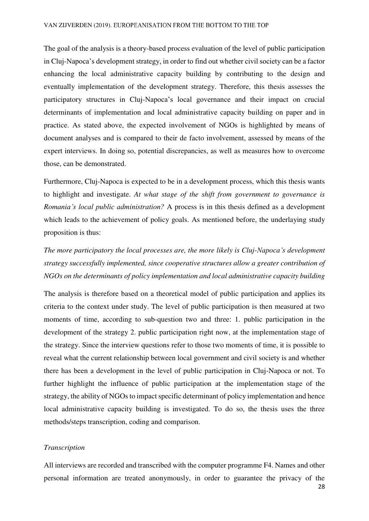The goal of the analysis is a theory-based process evaluation of the level of public participation in Cluj-Napoca's development strategy, in order to find out whether civil society can be a factor enhancing the local administrative capacity building by contributing to the design and eventually implementation of the development strategy. Therefore, this thesis assesses the participatory structures in Cluj-Napoca's local governance and their impact on crucial determinants of implementation and local administrative capacity building on paper and in practice. As stated above, the expected involvement of NGOs is highlighted by means of document analyses and is compared to their de facto involvement, assessed by means of the expert interviews. In doing so, potential discrepancies, as well as measures how to overcome those, can be demonstrated.

Furthermore, Cluj-Napoca is expected to be in a development process, which this thesis wants to highlight and investigate. *At what stage of the shift from government to governance is Romania's local public administration?* A process is in this thesis defined as a development which leads to the achievement of policy goals. As mentioned before, the underlaying study proposition is thus:

*The more participatory the local processes are, the more likely is Cluj-Napoca's development strategy successfully implemented, since cooperative structures allow a greater contribution of NGOs on the determinants of policy implementation and local administrative capacity building* 

The analysis is therefore based on a theoretical model of public participation and applies its criteria to the context under study. The level of public participation is then measured at two moments of time, according to sub-question two and three: 1. public participation in the development of the strategy 2. public participation right now, at the implementation stage of the strategy. Since the interview questions refer to those two moments of time, it is possible to reveal what the current relationship between local government and civil society is and whether there has been a development in the level of public participation in Cluj-Napoca or not. To further highlight the influence of public participation at the implementation stage of the strategy, the ability of NGOs to impact specific determinant of policy implementation and hence local administrative capacity building is investigated. To do so, the thesis uses the three methods/steps transcription, coding and comparison.

#### *Transcription*

All interviews are recorded and transcribed with the computer programme F4. Names and other personal information are treated anonymously, in order to guarantee the privacy of the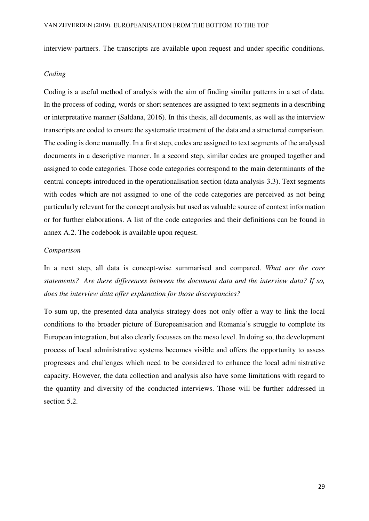interview-partners. The transcripts are available upon request and under specific conditions.

## *Coding*

Coding is a useful method of analysis with the aim of finding similar patterns in a set of data. In the process of coding, words or short sentences are assigned to text segments in a describing or interpretative manner (Saldana, 2016). In this thesis, all documents, as well as the interview transcripts are coded to ensure the systematic treatment of the data and a structured comparison. The coding is done manually. In a first step, codes are assigned to text segments of the analysed documents in a descriptive manner. In a second step, similar codes are grouped together and assigned to code categories. Those code categories correspond to the main determinants of the central concepts introduced in the operationalisation section (data analysis-3.3). Text segments with codes which are not assigned to one of the code categories are perceived as not being particularly relevant for the concept analysis but used as valuable source of context information or for further elaborations. A list of the code categories and their definitions can be found in annex A.2. The codebook is available upon request.

## *Comparison*

In a next step, all data is concept-wise summarised and compared. *What are the core statements? Are there differences between the document data and the interview data? If so, does the interview data offer explanation for those discrepancies?* 

To sum up, the presented data analysis strategy does not only offer a way to link the local conditions to the broader picture of Europeanisation and Romania's struggle to complete its European integration, but also clearly focusses on the meso level. In doing so, the development process of local administrative systems becomes visible and offers the opportunity to assess progresses and challenges which need to be considered to enhance the local administrative capacity. However, the data collection and analysis also have some limitations with regard to the quantity and diversity of the conducted interviews. Those will be further addressed in section 5.2.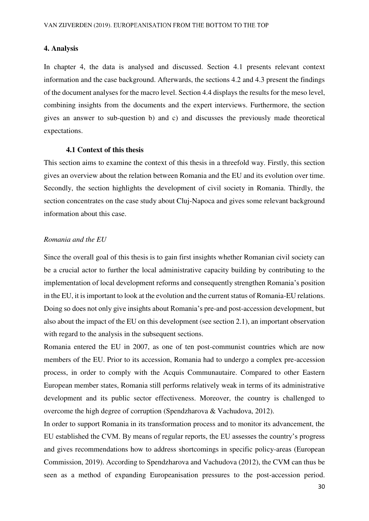#### <span id="page-30-0"></span>**4. Analysis**

In chapter 4, the data is analysed and discussed. Section 4.1 presents relevant context information and the case background. Afterwards, the sections 4.2 and 4.3 present the findings of the document analyses for the macro level. Section 4.4 displays the results for the meso level, combining insights from the documents and the expert interviews. Furthermore, the section gives an answer to sub-question b) and c) and discusses the previously made theoretical expectations.

#### **4.1 Context of this thesis**

<span id="page-30-1"></span>This section aims to examine the context of this thesis in a threefold way. Firstly, this section gives an overview about the relation between Romania and the EU and its evolution over time. Secondly, the section highlights the development of civil society in Romania. Thirdly, the section concentrates on the case study about Cluj-Napoca and gives some relevant background information about this case.

#### *Romania and the EU*

Since the overall goal of this thesis is to gain first insights whether Romanian civil society can be a crucial actor to further the local administrative capacity building by contributing to the implementation of local development reforms and consequently strengthen Romania's position in the EU, it is important to look at the evolution and the current status of Romania-EU relations. Doing so does not only give insights about Romania's pre-and post-accession development, but also about the impact of the EU on this development (see section 2.1), an important observation with regard to the analysis in the subsequent sections.

Romania entered the EU in 2007, as one of ten post-communist countries which are now members of the EU. Prior to its accession, Romania had to undergo a complex pre-accession process, in order to comply with the Acquis Communautaire. Compared to other Eastern European member states, Romania still performs relatively weak in terms of its administrative development and its public sector effectiveness. Moreover, the country is challenged to overcome the high degree of corruption (Spendzharova & Vachudova, 2012).

In order to support Romania in its transformation process and to monitor its advancement, the EU established the CVM. By means of regular reports, the EU assesses the country's progress and gives recommendations how to address shortcomings in specific policy-areas (European Commission, 2019). According to Spendzharova and Vachudova (2012), the CVM can thus be seen as a method of expanding Europeanisation pressures to the post-accession period.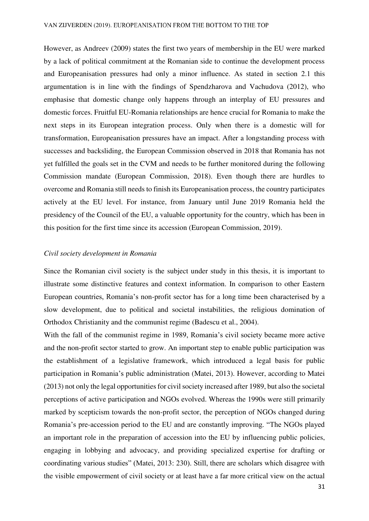However, as Andreev (2009) states the first two years of membership in the EU were marked by a lack of political commitment at the Romanian side to continue the development process and Europeanisation pressures had only a minor influence. As stated in section 2.1 this argumentation is in line with the findings of Spendzharova and Vachudova (2012), who emphasise that domestic change only happens through an interplay of EU pressures and domestic forces. Fruitful EU-Romania relationships are hence crucial for Romania to make the next steps in its European integration process. Only when there is a domestic will for transformation, Europeanisation pressures have an impact. After a longstanding process with successes and backsliding, the European Commission observed in 2018 that Romania has not yet fulfilled the goals set in the CVM and needs to be further monitored during the following Commission mandate (European Commission, 2018). Even though there are hurdles to overcome and Romania still needs to finish its Europeanisation process, the country participates actively at the EU level. For instance, from January until June 2019 Romania held the presidency of the Council of the EU, a valuable opportunity for the country, which has been in this position for the first time since its accession (European Commission, 2019).

#### *Civil society development in Romania*

Since the Romanian civil society is the subject under study in this thesis, it is important to illustrate some distinctive features and context information. In comparison to other Eastern European countries, Romania's non-profit sector has for a long time been characterised by a slow development, due to political and societal instabilities, the religious domination of Orthodox Christianity and the communist regime (Badescu et al., 2004).

With the fall of the communist regime in 1989, Romania's civil society became more active and the non-profit sector started to grow. An important step to enable public participation was the establishment of a legislative framework, which introduced a legal basis for public participation in Romania's public administration (Matei, 2013). However, according to Matei (2013) not only the legal opportunities for civil society increased after 1989, but also the societal perceptions of active participation and NGOs evolved. Whereas the 1990s were still primarily marked by scepticism towards the non-profit sector, the perception of NGOs changed during Romania's pre-accession period to the EU and are constantly improving. "The NGOs played an important role in the preparation of accession into the EU by influencing public policies, engaging in lobbying and advocacy, and providing specialized expertise for drafting or coordinating various studies" (Matei, 2013: 230). Still, there are scholars which disagree with the visible empowerment of civil society or at least have a far more critical view on the actual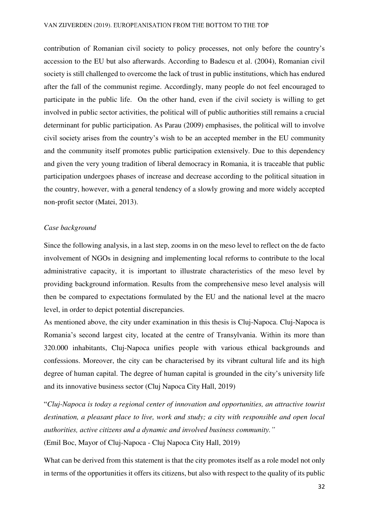contribution of Romanian civil society to policy processes, not only before the country's accession to the EU but also afterwards. According to Badescu et al. (2004), Romanian civil society is still challenged to overcome the lack of trust in public institutions, which has endured after the fall of the communist regime. Accordingly, many people do not feel encouraged to participate in the public life. On the other hand, even if the civil society is willing to get involved in public sector activities, the political will of public authorities still remains a crucial determinant for public participation. As Parau (2009) emphasises, the political will to involve civil society arises from the country's wish to be an accepted member in the EU community and the community itself promotes public participation extensively. Due to this dependency and given the very young tradition of liberal democracy in Romania, it is traceable that public participation undergoes phases of increase and decrease according to the political situation in the country, however, with a general tendency of a slowly growing and more widely accepted non-profit sector (Matei, 2013).

#### *Case background*

Since the following analysis, in a last step, zooms in on the meso level to reflect on the de facto involvement of NGOs in designing and implementing local reforms to contribute to the local administrative capacity, it is important to illustrate characteristics of the meso level by providing background information. Results from the comprehensive meso level analysis will then be compared to expectations formulated by the EU and the national level at the macro level, in order to depict potential discrepancies.

As mentioned above, the city under examination in this thesis is Cluj-Napoca. Cluj-Napoca is Romania's second largest city, located at the centre of Transylvania. Within its more than 320.000 inhabitants, Cluj-Napoca unifies people with various ethical backgrounds and confessions. Moreover, the city can be characterised by its vibrant cultural life and its high degree of human capital. The degree of human capital is grounded in the city's university life and its innovative business sector (Cluj Napoca City Hall, 2019)

"*Cluj-Napoca is today a regional center of innovation and opportunities, an attractive tourist destination, a pleasant place to live, work and study; a city with responsible and open local authorities, active citizens and a dynamic and involved business community."*  (Emil Boc, Mayor of Cluj-Napoca - Cluj Napoca City Hall, 2019)

What can be derived from this statement is that the city promotes itself as a role model not only in terms of the opportunities it offers its citizens, but also with respect to the quality of its public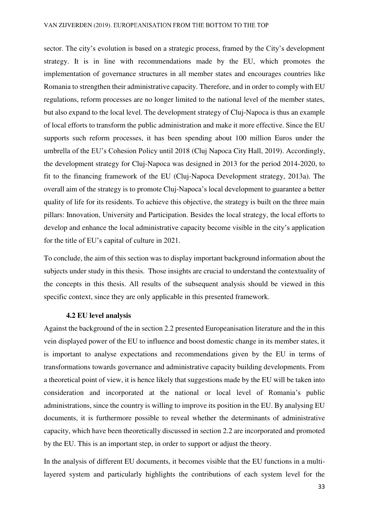sector. The city's evolution is based on a strategic process, framed by the City's development strategy. It is in line with recommendations made by the EU, which promotes the implementation of governance structures in all member states and encourages countries like Romania to strengthen their administrative capacity. Therefore, and in order to comply with EU regulations, reform processes are no longer limited to the national level of the member states, but also expand to the local level. The development strategy of Cluj-Napoca is thus an example of local efforts to transform the public administration and make it more effective. Since the EU supports such reform processes, it has been spending about 100 million Euros under the umbrella of the EU's Cohesion Policy until 2018 (Cluj Napoca City Hall, 2019). Accordingly, the development strategy for Cluj-Napoca was designed in 2013 for the period 2014-2020, to fit to the financing framework of the EU (Cluj-Napoca Development strategy, 2013a). The overall aim of the strategy is to promote Cluj-Napoca's local development to guarantee a better quality of life for its residents. To achieve this objective, the strategy is built on the three main pillars: Innovation, University and Participation. Besides the local strategy, the local efforts to develop and enhance the local administrative capacity become visible in the city's application for the title of EU's capital of culture in 2021.

To conclude, the aim of this section was to display important background information about the subjects under study in this thesis. Those insights are crucial to understand the contextuality of the concepts in this thesis. All results of the subsequent analysis should be viewed in this specific context, since they are only applicable in this presented framework.

#### **4.2 EU level analysis**

<span id="page-33-0"></span>Against the background of the in section 2.2 presented Europeanisation literature and the in this vein displayed power of the EU to influence and boost domestic change in its member states, it is important to analyse expectations and recommendations given by the EU in terms of transformations towards governance and administrative capacity building developments. From a theoretical point of view, it is hence likely that suggestions made by the EU will be taken into consideration and incorporated at the national or local level of Romania's public administrations, since the country is willing to improve its position in the EU. By analysing EU documents, it is furthermore possible to reveal whether the determinants of administrative capacity, which have been theoretically discussed in section 2.2 are incorporated and promoted by the EU. This is an important step, in order to support or adjust the theory.

In the analysis of different EU documents, it becomes visible that the EU functions in a multilayered system and particularly highlights the contributions of each system level for the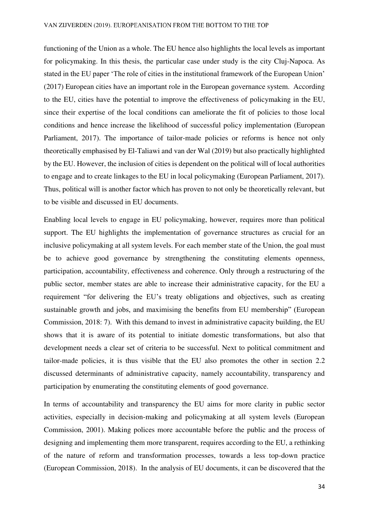functioning of the Union as a whole. The EU hence also highlights the local levels as important for policymaking. In this thesis, the particular case under study is the city Cluj-Napoca. As stated in the EU paper 'The role of cities in the institutional framework of the European Union' (2017) European cities have an important role in the European governance system. According to the EU, cities have the potential to improve the effectiveness of policymaking in the EU, since their expertise of the local conditions can ameliorate the fit of policies to those local conditions and hence increase the likelihood of successful policy implementation (European Parliament, 2017). The importance of tailor-made policies or reforms is hence not only theoretically emphasised by El-Taliawi and van der Wal (2019) but also practically highlighted by the EU. However, the inclusion of cities is dependent on the political will of local authorities to engage and to create linkages to the EU in local policymaking (European Parliament, 2017). Thus, political will is another factor which has proven to not only be theoretically relevant, but to be visible and discussed in EU documents.

Enabling local levels to engage in EU policymaking, however, requires more than political support. The EU highlights the implementation of governance structures as crucial for an inclusive policymaking at all system levels. For each member state of the Union, the goal must be to achieve good governance by strengthening the constituting elements openness, participation, accountability, effectiveness and coherence. Only through a restructuring of the public sector, member states are able to increase their administrative capacity, for the EU a requirement "for delivering the EU's treaty obligations and objectives, such as creating sustainable growth and jobs, and maximising the benefits from EU membership" (European Commission, 2018: 7). With this demand to invest in administrative capacity building, the EU shows that it is aware of its potential to initiate domestic transformations, but also that development needs a clear set of criteria to be successful. Next to political commitment and tailor-made policies, it is thus visible that the EU also promotes the other in section 2.2 discussed determinants of administrative capacity, namely accountability, transparency and participation by enumerating the constituting elements of good governance.

In terms of accountability and transparency the EU aims for more clarity in public sector activities, especially in decision-making and policymaking at all system levels (European Commission, 2001). Making polices more accountable before the public and the process of designing and implementing them more transparent, requires according to the EU, a rethinking of the nature of reform and transformation processes, towards a less top-down practice (European Commission, 2018). In the analysis of EU documents, it can be discovered that the

34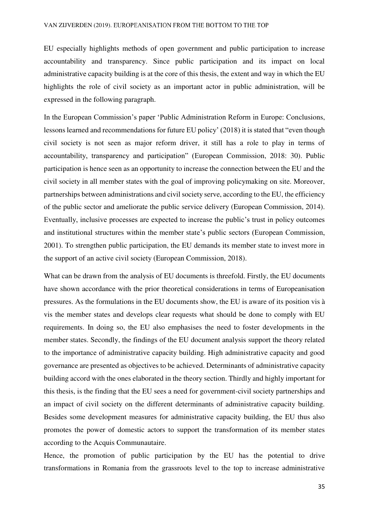EU especially highlights methods of open government and public participation to increase accountability and transparency. Since public participation and its impact on local administrative capacity building is at the core of this thesis, the extent and way in which the EU highlights the role of civil society as an important actor in public administration, will be expressed in the following paragraph.

In the European Commission's paper 'Public Administration Reform in Europe: Conclusions, lessons learned and recommendations for future EU policy' (2018) it is stated that "even though civil society is not seen as major reform driver, it still has a role to play in terms of accountability, transparency and participation" (European Commission, 2018: 30). Public participation is hence seen as an opportunity to increase the connection between the EU and the civil society in all member states with the goal of improving policymaking on site. Moreover, partnerships between administrations and civil society serve, according to the EU, the efficiency of the public sector and ameliorate the public service delivery (European Commission, 2014). Eventually, inclusive processes are expected to increase the public's trust in policy outcomes and institutional structures within the member state's public sectors (European Commission, 2001). To strengthen public participation, the EU demands its member state to invest more in the support of an active civil society (European Commission, 2018).

What can be drawn from the analysis of EU documents is threefold. Firstly, the EU documents have shown accordance with the prior theoretical considerations in terms of Europeanisation pressures. As the formulations in the EU documents show, the EU is aware of its position vis à vis the member states and develops clear requests what should be done to comply with EU requirements. In doing so, the EU also emphasises the need to foster developments in the member states. Secondly, the findings of the EU document analysis support the theory related to the importance of administrative capacity building. High administrative capacity and good governance are presented as objectives to be achieved. Determinants of administrative capacity building accord with the ones elaborated in the theory section. Thirdly and highly important for this thesis, is the finding that the EU sees a need for government-civil society partnerships and an impact of civil society on the different determinants of administrative capacity building. Besides some development measures for administrative capacity building, the EU thus also promotes the power of domestic actors to support the transformation of its member states according to the Acquis Communautaire.

Hence, the promotion of public participation by the EU has the potential to drive transformations in Romania from the grassroots level to the top to increase administrative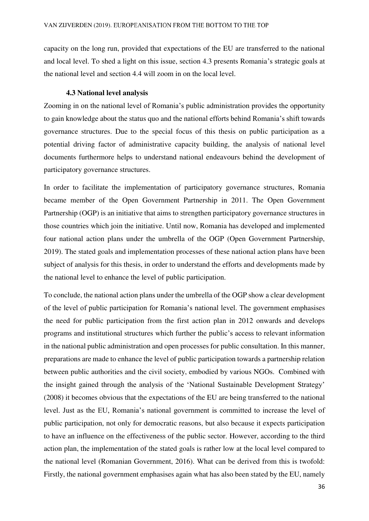capacity on the long run, provided that expectations of the EU are transferred to the national and local level. To shed a light on this issue, section 4.3 presents Romania's strategic goals at the national level and section 4.4 will zoom in on the local level.

### **4.3 National level analysis**

<span id="page-36-0"></span>Zooming in on the national level of Romania's public administration provides the opportunity to gain knowledge about the status quo and the national efforts behind Romania's shift towards governance structures. Due to the special focus of this thesis on public participation as a potential driving factor of administrative capacity building, the analysis of national level documents furthermore helps to understand national endeavours behind the development of participatory governance structures.

In order to facilitate the implementation of participatory governance structures, Romania became member of the Open Government Partnership in 2011. The Open Government Partnership (OGP) is an initiative that aims to strengthen participatory governance structures in those countries which join the initiative. Until now, Romania has developed and implemented four national action plans under the umbrella of the OGP (Open Government Partnership, 2019). The stated goals and implementation processes of these national action plans have been subject of analysis for this thesis, in order to understand the efforts and developments made by the national level to enhance the level of public participation.

To conclude, the national action plans under the umbrella of the OGP show a clear development of the level of public participation for Romania's national level. The government emphasises the need for public participation from the first action plan in 2012 onwards and develops programs and institutional structures which further the public's access to relevant information in the national public administration and open processes for public consultation. In this manner, preparations are made to enhance the level of public participation towards a partnership relation between public authorities and the civil society, embodied by various NGOs. Combined with the insight gained through the analysis of the 'National Sustainable Development Strategy' (2008) it becomes obvious that the expectations of the EU are being transferred to the national level. Just as the EU, Romania's national government is committed to increase the level of public participation, not only for democratic reasons, but also because it expects participation to have an influence on the effectiveness of the public sector. However, according to the third action plan, the implementation of the stated goals is rather low at the local level compared to the national level (Romanian Government, 2016). What can be derived from this is twofold: Firstly, the national government emphasises again what has also been stated by the EU, namely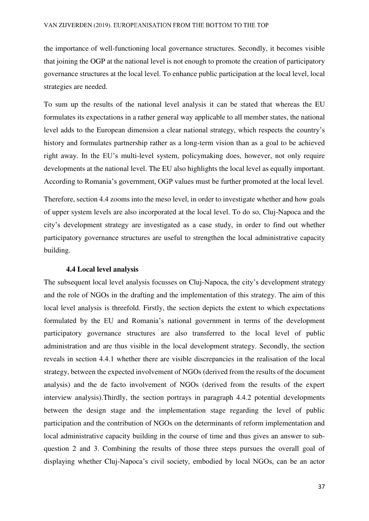the importance of well-functioning local governance structures. Secondly, it becomes visible that joining the OGP at the national level is not enough to promote the creation of participatory governance structures at the local level. To enhance public participation at the local level, local strategies are needed.

To sum up the results of the national level analysis it can be stated that whereas the EU formulates its expectations in a rather general way applicable to all member states, the national level adds to the European dimension a clear national strategy, which respects the country's history and formulates partnership rather as a long-term vision than as a goal to be achieved right away. In the EU's multi-level system, policymaking does, however, not only require developments at the national level. The EU also highlights the local level as equally important. According to Romania's government, OGP values must be further promoted at the local level.

Therefore, section 4.4 zooms into the meso level, in order to investigate whether and how goals of upper system levels are also incorporated at the local level. To do so, Cluj-Napoca and the city's development strategy are investigated as a case study, in order to find out whether participatory governance structures are useful to strengthen the local administrative capacity building.

## **4.4 Local level analysis**

<span id="page-37-0"></span>The subsequent local level analysis focusses on Cluj-Napoca, the city's development strategy and the role of NGOs in the drafting and the implementation of this strategy. The aim of this local level analysis is threefold. Firstly, the section depicts the extent to which expectations formulated by the EU and Romania's national government in terms of the development participatory governance structures are also transferred to the local level of public administration and are thus visible in the local development strategy. Secondly, the section reveals in section 4.4.1 whether there are visible discrepancies in the realisation of the local strategy, between the expected involvement of NGOs (derived from the results of the document analysis) and the de facto involvement of NGOs (derived from the results of the expert interview analysis).Thirdly, the section portrays in paragraph 4.4.2 potential developments between the design stage and the implementation stage regarding the level of public participation and the contribution of NGOs on the determinants of reform implementation and local administrative capacity building in the course of time and thus gives an answer to subquestion 2 and 3. Combining the results of those three steps pursues the overall goal of displaying whether Cluj-Napoca's civil society, embodied by local NGOs, can be an actor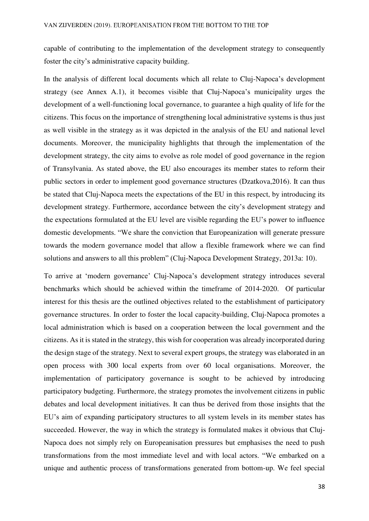capable of contributing to the implementation of the development strategy to consequently foster the city's administrative capacity building.

In the analysis of different local documents which all relate to Cluj-Napoca's development strategy (see Annex A.1), it becomes visible that Cluj-Napoca's municipality urges the development of a well-functioning local governance, to guarantee a high quality of life for the citizens. This focus on the importance of strengthening local administrative systems is thus just as well visible in the strategy as it was depicted in the analysis of the EU and national level documents. Moreover, the municipality highlights that through the implementation of the development strategy, the city aims to evolve as role model of good governance in the region of Transylvania. As stated above, the EU also encourages its member states to reform their public sectors in order to implement good governance structures (Dzatkova,2016). It can thus be stated that Cluj-Napoca meets the expectations of the EU in this respect, by introducing its development strategy. Furthermore, accordance between the city's development strategy and the expectations formulated at the EU level are visible regarding the EU's power to influence domestic developments. "We share the conviction that Europeanization will generate pressure towards the modern governance model that allow a flexible framework where we can find solutions and answers to all this problem" (Cluj-Napoca Development Strategy, 2013a: 10).

To arrive at 'modern governance' Cluj-Napoca's development strategy introduces several benchmarks which should be achieved within the timeframe of 2014-2020. Of particular interest for this thesis are the outlined objectives related to the establishment of participatory governance structures. In order to foster the local capacity-building, Cluj-Napoca promotes a local administration which is based on a cooperation between the local government and the citizens. As it is stated in the strategy, this wish for cooperation was already incorporated during the design stage of the strategy. Next to several expert groups, the strategy was elaborated in an open process with 300 local experts from over 60 local organisations. Moreover, the implementation of participatory governance is sought to be achieved by introducing participatory budgeting. Furthermore, the strategy promotes the involvement citizens in public debates and local development initiatives. It can thus be derived from those insights that the EU's aim of expanding participatory structures to all system levels in its member states has succeeded. However, the way in which the strategy is formulated makes it obvious that Cluj-Napoca does not simply rely on Europeanisation pressures but emphasises the need to push transformations from the most immediate level and with local actors. "We embarked on a unique and authentic process of transformations generated from bottom-up. We feel special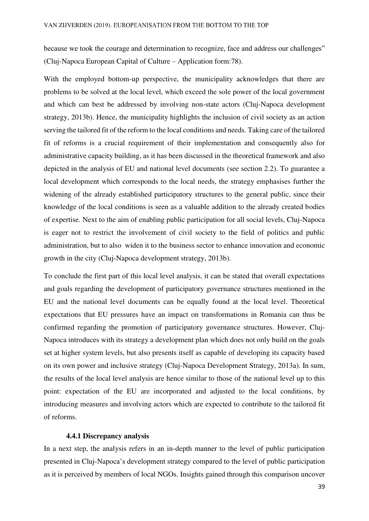because we took the courage and determination to recognize, face and address our challenges" (Cluj-Napoca European Capital of Culture – Application form:78).

With the employed bottom-up perspective, the municipality acknowledges that there are problems to be solved at the local level, which exceed the sole power of the local government and which can best be addressed by involving non-state actors (Cluj-Napoca development strategy, 2013b). Hence, the municipality highlights the inclusion of civil society as an action serving the tailored fit of the reform to the local conditions and needs. Taking care of the tailored fit of reforms is a crucial requirement of their implementation and consequently also for administrative capacity building, as it has been discussed in the theoretical framework and also depicted in the analysis of EU and national level documents (see section 2.2). To guarantee a local development which corresponds to the local needs, the strategy emphasises further the widening of the already established participatory structures to the general public, since their knowledge of the local conditions is seen as a valuable addition to the already created bodies of expertise. Next to the aim of enabling public participation for all social levels, Cluj-Napoca is eager not to restrict the involvement of civil society to the field of politics and public administration, but to also widen it to the business sector to enhance innovation and economic growth in the city (Cluj-Napoca development strategy, 2013b).

To conclude the first part of this local level analysis, it can be stated that overall expectations and goals regarding the development of participatory governance structures mentioned in the EU and the national level documents can be equally found at the local level. Theoretical expectations that EU pressures have an impact on transformations in Romania can thus be confirmed regarding the promotion of participatory governance structures. However, Cluj-Napoca introduces with its strategy a development plan which does not only build on the goals set at higher system levels, but also presents itself as capable of developing its capacity based on its own power and inclusive strategy (Cluj-Napoca Development Strategy, 2013a). In sum, the results of the local level analysis are hence similar to those of the national level up to this point: expectation of the EU are incorporated and adjusted to the local conditions, by introducing measures and involving actors which are expected to contribute to the tailored fit of reforms.

#### **4.4.1 Discrepancy analysis**

<span id="page-39-0"></span>In a next step, the analysis refers in an in-depth manner to the level of public participation presented in Cluj-Napoca's development strategy compared to the level of public participation as it is perceived by members of local NGOs. Insights gained through this comparison uncover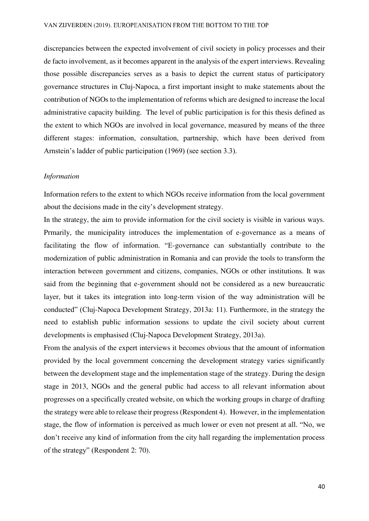discrepancies between the expected involvement of civil society in policy processes and their de facto involvement, as it becomes apparent in the analysis of the expert interviews. Revealing those possible discrepancies serves as a basis to depict the current status of participatory governance structures in Cluj-Napoca, a first important insight to make statements about the contribution of NGOs to the implementation of reforms which are designed to increase the local administrative capacity building. The level of public participation is for this thesis defined as the extent to which NGOs are involved in local governance, measured by means of the three different stages: information, consultation, partnership, which have been derived from Arnstein's ladder of public participation (1969) (see section 3.3).

## *Information*

Information refers to the extent to which NGOs receive information from the local government about the decisions made in the city's development strategy.

In the strategy, the aim to provide information for the civil society is visible in various ways. Prmarily, the municipality introduces the implementation of e-governance as a means of facilitating the flow of information. "E-governance can substantially contribute to the modernization of public administration in Romania and can provide the tools to transform the interaction between government and citizens, companies, NGOs or other institutions. It was said from the beginning that e-government should not be considered as a new bureaucratic layer, but it takes its integration into long-term vision of the way administration will be conducted" (Cluj-Napoca Development Strategy, 2013a: 11). Furthermore, in the strategy the need to establish public information sessions to update the civil society about current developments is emphasised (Cluj-Napoca Development Strategy, 2013a).

From the analysis of the expert interviews it becomes obvious that the amount of information provided by the local government concerning the development strategy varies significantly between the development stage and the implementation stage of the strategy. During the design stage in 2013, NGOs and the general public had access to all relevant information about progresses on a specifically created website, on which the working groups in charge of drafting the strategy were able to release their progress (Respondent 4). However, in the implementation stage, the flow of information is perceived as much lower or even not present at all. "No, we don't receive any kind of information from the city hall regarding the implementation process of the strategy" (Respondent 2: 70).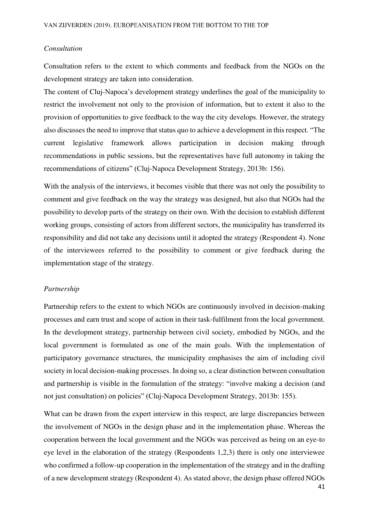#### *Consultation*

Consultation refers to the extent to which comments and feedback from the NGOs on the development strategy are taken into consideration.

The content of Cluj-Napoca's development strategy underlines the goal of the municipality to restrict the involvement not only to the provision of information, but to extent it also to the provision of opportunities to give feedback to the way the city develops. However, the strategy also discusses the need to improve that status quo to achieve a development in this respect. "The current legislative framework allows participation in decision making through recommendations in public sessions, but the representatives have full autonomy in taking the recommendations of citizens" (Cluj-Napoca Development Strategy, 2013b: 156).

With the analysis of the interviews, it becomes visible that there was not only the possibility to comment and give feedback on the way the strategy was designed, but also that NGOs had the possibility to develop parts of the strategy on their own. With the decision to establish different working groups, consisting of actors from different sectors, the municipality has transferred its responsibility and did not take any decisions until it adopted the strategy (Respondent 4). None of the interviewees referred to the possibility to comment or give feedback during the implementation stage of the strategy.

## *Partnership*

Partnership refers to the extent to which NGOs are continuously involved in decision-making processes and earn trust and scope of action in their task-fulfilment from the local government. In the development strategy, partnership between civil society, embodied by NGOs, and the local government is formulated as one of the main goals. With the implementation of participatory governance structures, the municipality emphasises the aim of including civil society in local decision-making processes. In doing so, a clear distinction between consultation and partnership is visible in the formulation of the strategy: "involve making a decision (and not just consultation) on policies" (Cluj-Napoca Development Strategy, 2013b: 155).

What can be drawn from the expert interview in this respect, are large discrepancies between the involvement of NGOs in the design phase and in the implementation phase. Whereas the cooperation between the local government and the NGOs was perceived as being on an eye-to eye level in the elaboration of the strategy (Respondents 1,2,3) there is only one interviewee who confirmed a follow-up cooperation in the implementation of the strategy and in the drafting of a new development strategy (Respondent 4). As stated above, the design phase offered NGOs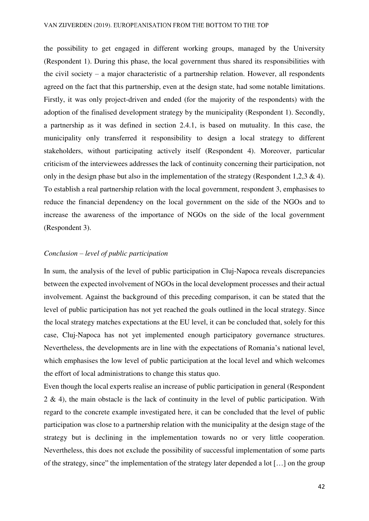the possibility to get engaged in different working groups, managed by the University (Respondent 1). During this phase, the local government thus shared its responsibilities with the civil society – a major characteristic of a partnership relation. However, all respondents agreed on the fact that this partnership, even at the design state, had some notable limitations. Firstly, it was only project-driven and ended (for the majority of the respondents) with the adoption of the finalised development strategy by the municipality (Respondent 1). Secondly, a partnership as it was defined in section 2.4.1, is based on mutuality. In this case, the municipality only transferred it responsibility to design a local strategy to different stakeholders, without participating actively itself (Respondent 4). Moreover, particular criticism of the interviewees addresses the lack of continuity concerning their participation, not only in the design phase but also in the implementation of the strategy (Respondent 1,2,3  $\&$  4). To establish a real partnership relation with the local government, respondent 3, emphasises to reduce the financial dependency on the local government on the side of the NGOs and to increase the awareness of the importance of NGOs on the side of the local government (Respondent 3).

### *Conclusion – level of public participation*

In sum, the analysis of the level of public participation in Cluj-Napoca reveals discrepancies between the expected involvement of NGOs in the local development processes and their actual involvement. Against the background of this preceding comparison, it can be stated that the level of public participation has not yet reached the goals outlined in the local strategy. Since the local strategy matches expectations at the EU level, it can be concluded that, solely for this case, Cluj-Napoca has not yet implemented enough participatory governance structures. Nevertheless, the developments are in line with the expectations of Romania's national level, which emphasises the low level of public participation at the local level and which welcomes the effort of local administrations to change this status quo.

Even though the local experts realise an increase of public participation in general (Respondent 2 & 4), the main obstacle is the lack of continuity in the level of public participation. With regard to the concrete example investigated here, it can be concluded that the level of public participation was close to a partnership relation with the municipality at the design stage of the strategy but is declining in the implementation towards no or very little cooperation. Nevertheless, this does not exclude the possibility of successful implementation of some parts of the strategy, since" the implementation of the strategy later depended a lot […] on the group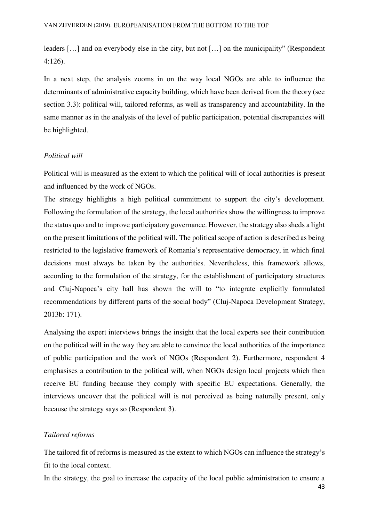leaders […] and on everybody else in the city, but not […] on the municipality" (Respondent 4:126).

In a next step, the analysis zooms in on the way local NGOs are able to influence the determinants of administrative capacity building, which have been derived from the theory (see section 3.3): political will, tailored reforms, as well as transparency and accountability. In the same manner as in the analysis of the level of public participation, potential discrepancies will be highlighted.

## *Political will*

Political will is measured as the extent to which the political will of local authorities is present and influenced by the work of NGOs.

The strategy highlights a high political commitment to support the city's development. Following the formulation of the strategy, the local authorities show the willingness to improve the status quo and to improve participatory governance. However, the strategy also sheds a light on the present limitations of the political will. The political scope of action is described as being restricted to the legislative framework of Romania's representative democracy, in which final decisions must always be taken by the authorities. Nevertheless, this framework allows, according to the formulation of the strategy, for the establishment of participatory structures and Cluj-Napoca's city hall has shown the will to "to integrate explicitly formulated recommendations by different parts of the social body" (Cluj-Napoca Development Strategy, 2013b: 171).

Analysing the expert interviews brings the insight that the local experts see their contribution on the political will in the way they are able to convince the local authorities of the importance of public participation and the work of NGOs (Respondent 2). Furthermore, respondent 4 emphasises a contribution to the political will, when NGOs design local projects which then receive EU funding because they comply with specific EU expectations. Generally, the interviews uncover that the political will is not perceived as being naturally present, only because the strategy says so (Respondent 3).

### *Tailored reforms*

The tailored fit of reforms is measured as the extent to which NGOs can influence the strategy's fit to the local context.

In the strategy, the goal to increase the capacity of the local public administration to ensure a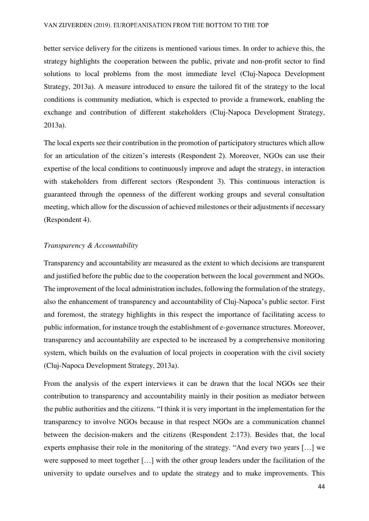better service delivery for the citizens is mentioned various times. In order to achieve this, the strategy highlights the cooperation between the public, private and non-profit sector to find solutions to local problems from the most immediate level (Cluj-Napoca Development Strategy, 2013a). A measure introduced to ensure the tailored fit of the strategy to the local conditions is community mediation, which is expected to provide a framework, enabling the exchange and contribution of different stakeholders (Cluj-Napoca Development Strategy, 2013a).

The local experts see their contribution in the promotion of participatory structures which allow for an articulation of the citizen's interests (Respondent 2). Moreover, NGOs can use their expertise of the local conditions to continuously improve and adapt the strategy, in interaction with stakeholders from different sectors (Respondent 3). This continuous interaction is guaranteed through the openness of the different working groups and several consultation meeting, which allow for the discussion of achieved milestones or their adjustments if necessary (Respondent 4).

#### *Transparency & Accountability*

Transparency and accountability are measured as the extent to which decisions are transparent and justified before the public due to the cooperation between the local government and NGOs. The improvement of the local administration includes, following the formulation of the strategy, also the enhancement of transparency and accountability of Cluj-Napoca's public sector. First and foremost, the strategy highlights in this respect the importance of facilitating access to public information, for instance trough the establishment of e-governance structures. Moreover, transparency and accountability are expected to be increased by a comprehensive monitoring system, which builds on the evaluation of local projects in cooperation with the civil society (Cluj-Napoca Development Strategy, 2013a).

From the analysis of the expert interviews it can be drawn that the local NGOs see their contribution to transparency and accountability mainly in their position as mediator between the public authorities and the citizens. "I think it is very important in the implementation for the transparency to involve NGOs because in that respect NGOs are a communication channel between the decision-makers and the citizens (Respondent 2:173). Besides that, the local experts emphasise their role in the monitoring of the strategy. "And every two years […] we were supposed to meet together […] with the other group leaders under the facilitation of the university to update ourselves and to update the strategy and to make improvements. This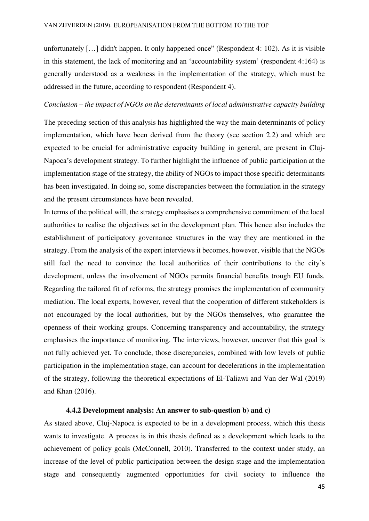unfortunately […] didn't happen. It only happened once" (Respondent 4: 102). As it is visible in this statement, the lack of monitoring and an 'accountability system' (respondent 4:164) is generally understood as a weakness in the implementation of the strategy, which must be addressed in the future, according to respondent (Respondent 4).

## *Conclusion – the impact of NGOs on the determinants of local administrative capacity building*

The preceding section of this analysis has highlighted the way the main determinants of policy implementation, which have been derived from the theory (see section 2.2) and which are expected to be crucial for administrative capacity building in general, are present in Cluj-Napoca's development strategy. To further highlight the influence of public participation at the implementation stage of the strategy, the ability of NGOs to impact those specific determinants has been investigated. In doing so, some discrepancies between the formulation in the strategy and the present circumstances have been revealed.

In terms of the political will, the strategy emphasises a comprehensive commitment of the local authorities to realise the objectives set in the development plan. This hence also includes the establishment of participatory governance structures in the way they are mentioned in the strategy. From the analysis of the expert interviews it becomes, however, visible that the NGOs still feel the need to convince the local authorities of their contributions to the city's development, unless the involvement of NGOs permits financial benefits trough EU funds. Regarding the tailored fit of reforms, the strategy promises the implementation of community mediation. The local experts, however, reveal that the cooperation of different stakeholders is not encouraged by the local authorities, but by the NGOs themselves, who guarantee the openness of their working groups. Concerning transparency and accountability, the strategy emphasises the importance of monitoring. The interviews, however, uncover that this goal is not fully achieved yet. To conclude, those discrepancies, combined with low levels of public participation in the implementation stage, can account for decelerations in the implementation of the strategy, following the theoretical expectations of El-Taliawi and Van der Wal (2019) and Khan (2016).

## **4.4.2 Development analysis: An answer to sub-question b) and c)**

<span id="page-45-0"></span>As stated above, Cluj-Napoca is expected to be in a development process, which this thesis wants to investigate. A process is in this thesis defined as a development which leads to the achievement of policy goals (McConnell, 2010). Transferred to the context under study, an increase of the level of public participation between the design stage and the implementation stage and consequently augmented opportunities for civil society to influence the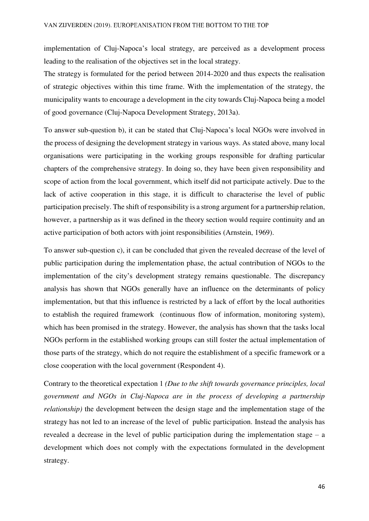implementation of Cluj-Napoca's local strategy, are perceived as a development process leading to the realisation of the objectives set in the local strategy.

The strategy is formulated for the period between 2014-2020 and thus expects the realisation of strategic objectives within this time frame. With the implementation of the strategy, the municipality wants to encourage a development in the city towards Cluj-Napoca being a model of good governance (Cluj-Napoca Development Strategy, 2013a).

To answer sub-question b), it can be stated that Cluj-Napoca's local NGOs were involved in the process of designing the development strategy in various ways. As stated above, many local organisations were participating in the working groups responsible for drafting particular chapters of the comprehensive strategy. In doing so, they have been given responsibility and scope of action from the local government, which itself did not participate actively. Due to the lack of active cooperation in this stage, it is difficult to characterise the level of public participation precisely. The shift of responsibility is a strong argument for a partnership relation, however, a partnership as it was defined in the theory section would require continuity and an active participation of both actors with joint responsibilities (Arnstein, 1969).

To answer sub-question c), it can be concluded that given the revealed decrease of the level of public participation during the implementation phase, the actual contribution of NGOs to the implementation of the city's development strategy remains questionable. The discrepancy analysis has shown that NGOs generally have an influence on the determinants of policy implementation, but that this influence is restricted by a lack of effort by the local authorities to establish the required framework (continuous flow of information, monitoring system), which has been promised in the strategy. However, the analysis has shown that the tasks local NGOs perform in the established working groups can still foster the actual implementation of those parts of the strategy, which do not require the establishment of a specific framework or a close cooperation with the local government (Respondent 4).

Contrary to the theoretical expectation 1 *(Due to the shift towards governance principles, local government and NGOs in Cluj-Napoca are in the process of developing a partnership relationship)* the development between the design stage and the implementation stage of the strategy has not led to an increase of the level of public participation. Instead the analysis has revealed a decrease in the level of public participation during the implementation stage – a development which does not comply with the expectations formulated in the development strategy.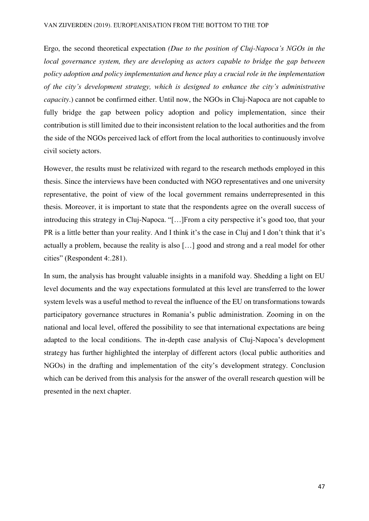Ergo, the second theoretical expectation *(Due to the position of Cluj-Napoca's NGOs in the local governance system, they are developing as actors capable to bridge the gap between policy adoption and policy implementation and hence play a crucial role in the implementation of the city's development strategy, which is designed to enhance the city's administrative capacity*.) cannot be confirmed either. Until now, the NGOs in Cluj-Napoca are not capable to fully bridge the gap between policy adoption and policy implementation, since their contribution is still limited due to their inconsistent relation to the local authorities and the from the side of the NGOs perceived lack of effort from the local authorities to continuously involve civil society actors.

However, the results must be relativized with regard to the research methods employed in this thesis. Since the interviews have been conducted with NGO representatives and one university representative, the point of view of the local government remains underrepresented in this thesis. Moreover, it is important to state that the respondents agree on the overall success of introducing this strategy in Cluj-Napoca. "[…]From a city perspective it's good too, that your PR is a little better than your reality. And I think it's the case in Cluj and I don't think that it's actually a problem, because the reality is also […] good and strong and a real model for other cities" (Respondent 4:.281).

In sum, the analysis has brought valuable insights in a manifold way. Shedding a light on EU level documents and the way expectations formulated at this level are transferred to the lower system levels was a useful method to reveal the influence of the EU on transformations towards participatory governance structures in Romania's public administration. Zooming in on the national and local level, offered the possibility to see that international expectations are being adapted to the local conditions. The in-depth case analysis of Cluj-Napoca's development strategy has further highlighted the interplay of different actors (local public authorities and NGOs) in the drafting and implementation of the city's development strategy. Conclusion which can be derived from this analysis for the answer of the overall research question will be presented in the next chapter.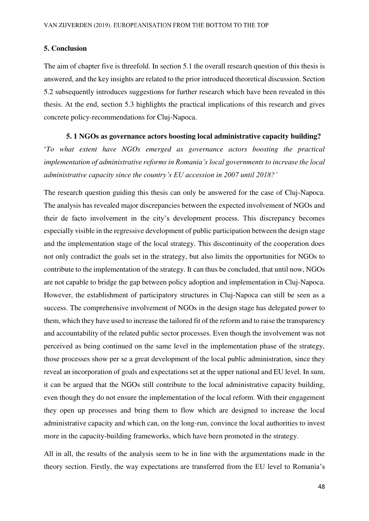#### **5. Conclusion**

The aim of chapter five is threefold. In section 5.1 the overall research question of this thesis is answered, and the key insights are related to the prior introduced theoretical discussion. Section 5.2 subsequently introduces suggestions for further research which have been revealed in this thesis. At the end, section 5.3 highlights the practical implications of this research and gives concrete policy-recommendations for Cluj-Napoca.

## **5. 1 NGOs as governance actors boosting local administrative capacity building?**

<span id="page-48-0"></span>'*To what extent have NGOs emerged as governance actors boosting the practical implementation of administrative reforms in Romania's local governments to increase the local administrative capacity since the country's EU accession in 2007 until 2018?'*

The research question guiding this thesis can only be answered for the case of Cluj-Napoca. The analysis has revealed major discrepancies between the expected involvement of NGOs and their de facto involvement in the city's development process. This discrepancy becomes especially visible in the regressive development of public participation between the design stage and the implementation stage of the local strategy. This discontinuity of the cooperation does not only contradict the goals set in the strategy, but also limits the opportunities for NGOs to contribute to the implementation of the strategy. It can thus be concluded, that until now, NGOs are not capable to bridge the gap between policy adoption and implementation in Cluj-Napoca. However, the establishment of participatory structures in Cluj-Napoca can still be seen as a success. The comprehensive involvement of NGOs in the design stage has delegated power to them, which they have used to increase the tailored fit of the reform and to raise the transparency and accountability of the related public sector processes. Even though the involvement was not perceived as being continued on the same level in the implementation phase of the strategy, those processes show per se a great development of the local public administration, since they reveal an incorporation of goals and expectations set at the upper national and EU level. In sum, it can be argued that the NGOs still contribute to the local administrative capacity building, even though they do not ensure the implementation of the local reform. With their engagement they open up processes and bring them to flow which are designed to increase the local administrative capacity and which can, on the long-run, convince the local authorities to invest more in the capacity-building frameworks, which have been promoted in the strategy.

All in all, the results of the analysis seem to be in line with the argumentations made in the theory section. Firstly, the way expectations are transferred from the EU level to Romania's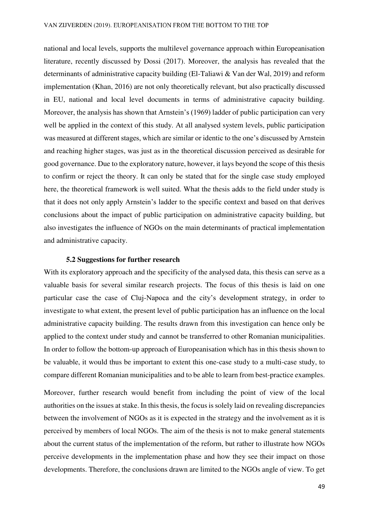national and local levels, supports the multilevel governance approach within Europeanisation literature, recently discussed by Dossi (2017). Moreover, the analysis has revealed that the determinants of administrative capacity building (El-Taliawi & Van der Wal, 2019) and reform implementation (Khan, 2016) are not only theoretically relevant, but also practically discussed in EU, national and local level documents in terms of administrative capacity building. Moreover, the analysis has shown that Arnstein's (1969) ladder of public participation can very well be applied in the context of this study. At all analysed system levels, public participation was measured at different stages, which are similar or identic to the one's discussed by Arnstein and reaching higher stages, was just as in the theoretical discussion perceived as desirable for good governance. Due to the exploratory nature, however, it lays beyond the scope of this thesis to confirm or reject the theory. It can only be stated that for the single case study employed here, the theoretical framework is well suited. What the thesis adds to the field under study is that it does not only apply Arnstein's ladder to the specific context and based on that derives conclusions about the impact of public participation on administrative capacity building, but also investigates the influence of NGOs on the main determinants of practical implementation and administrative capacity.

#### **5.2 Suggestions for further research**

<span id="page-49-0"></span>With its exploratory approach and the specificity of the analysed data, this thesis can serve as a valuable basis for several similar research projects. The focus of this thesis is laid on one particular case the case of Cluj-Napoca and the city's development strategy, in order to investigate to what extent, the present level of public participation has an influence on the local administrative capacity building. The results drawn from this investigation can hence only be applied to the context under study and cannot be transferred to other Romanian municipalities. In order to follow the bottom-up approach of Europeanisation which has in this thesis shown to be valuable, it would thus be important to extent this one-case study to a multi-case study, to compare different Romanian municipalities and to be able to learn from best-practice examples.

Moreover, further research would benefit from including the point of view of the local authorities on the issues at stake. In this thesis, the focus is solely laid on revealing discrepancies between the involvement of NGOs as it is expected in the strategy and the involvement as it is perceived by members of local NGOs. The aim of the thesis is not to make general statements about the current status of the implementation of the reform, but rather to illustrate how NGOs perceive developments in the implementation phase and how they see their impact on those developments. Therefore, the conclusions drawn are limited to the NGOs angle of view. To get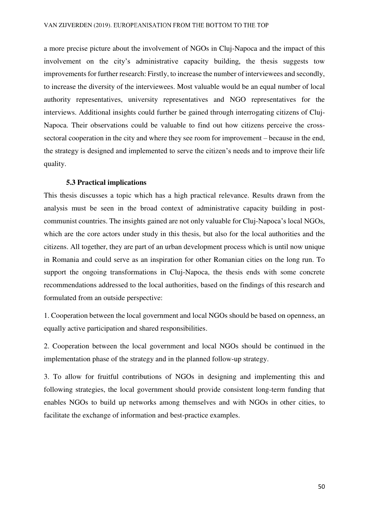a more precise picture about the involvement of NGOs in Cluj-Napoca and the impact of this involvement on the city's administrative capacity building, the thesis suggests tow improvements for further research: Firstly, to increase the number of interviewees and secondly, to increase the diversity of the interviewees. Most valuable would be an equal number of local authority representatives, university representatives and NGO representatives for the interviews. Additional insights could further be gained through interrogating citizens of Cluj-Napoca. Their observations could be valuable to find out how citizens perceive the crosssectoral cooperation in the city and where they see room for improvement – because in the end, the strategy is designed and implemented to serve the citizen's needs and to improve their life quality.

#### **5.3 Practical implications**

<span id="page-50-0"></span>This thesis discusses a topic which has a high practical relevance. Results drawn from the analysis must be seen in the broad context of administrative capacity building in postcommunist countries. The insights gained are not only valuable for Cluj-Napoca's local NGOs, which are the core actors under study in this thesis, but also for the local authorities and the citizens. All together, they are part of an urban development process which is until now unique in Romania and could serve as an inspiration for other Romanian cities on the long run. To support the ongoing transformations in Cluj-Napoca, the thesis ends with some concrete recommendations addressed to the local authorities, based on the findings of this research and formulated from an outside perspective:

1. Cooperation between the local government and local NGOs should be based on openness, an equally active participation and shared responsibilities.

2. Cooperation between the local government and local NGOs should be continued in the implementation phase of the strategy and in the planned follow-up strategy.

3. To allow for fruitful contributions of NGOs in designing and implementing this and following strategies, the local government should provide consistent long-term funding that enables NGOs to build up networks among themselves and with NGOs in other cities, to facilitate the exchange of information and best-practice examples.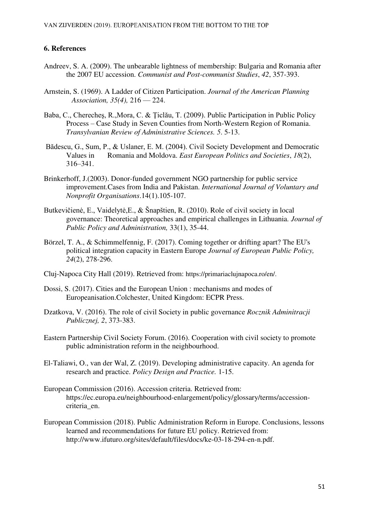## <span id="page-51-0"></span>**6. References**

- Andreev, S. A. (2009). The unbearable lightness of membership: Bulgaria and Romania after the 2007 EU accession. *Communist and Post-communist Studies*, *42*, 357-393.
- Arnstein, S. (1969). A Ladder of Citizen Participation. *Journal of the American Planning Association, 35(4),* 216 — 224.
- Baba, C., Cherecheş, R.,Mora, C. & Ţiclău, T. (2009). Public Participation in Public Policy Process – Case Study in Seven Counties from North-Western Region of Romania. *Transylvanian Review of Administrative Sciences. 5*. 5-13.
- Bădescu, G., Sum, P., & Uslaner, E. M. (2004). Civil Society Development and Democratic Values in Romania and Moldova. *East European Politics and Societies*, *18*(2), 316–341.
- Brinkerhoff, J.(2003). Donor-funded government NGO partnership for public service improvement.Cases from India and Pakistan. *International Journal of Voluntary and Nonprofit Organisations*.14(1).105-107.
- Butkevičienė, E., Vaidelytė,E., & Šnapštien, R. (2010). Role of civil society in local governance: Theoretical approaches and empirical challenges in Lithuania*. Journal of Public Policy and Administration,* 33(1), 35-44.
- Börzel, T. A., & Schimmelfennig, F. (2017). Coming together or drifting apart? The EU's political integration capacity in Eastern Europe *Journal of European Public Policy, 24*(2), 278-296.
- Cluj-Napoca City Hall (2019). Retrieved from: https://primariaclujnapoca.ro/en/.
- Dossi, S. (2017). Cities and the European Union : mechanisms and modes of Europeanisation.Colchester, United Kingdom: ECPR Press.
- Dzatkova, V. (2016). The role of civil Society in public governance *Rocznik Adminitracji Publicznej, 2*, 373-383.
- Eastern Partnership Civil Society Forum. (2016). Cooperation with civil society to promote public administration reform in the neighbourhood.
- El-Taliawi, O., van der Wal, Z. (2019). Developing administrative capacity. An agenda for research and practice. *Policy Design and Practice.* 1-15.
- European Commission (2016). Accession criteria. Retrieved from: [https://ec.europa.eu/neighbourhood-enlargement/policy/glossary/terms/accession](https://ec.europa.eu/neighbourhood-enlargement/policy/glossary/terms/accession-criteria_en)[criteria\\_en.](https://ec.europa.eu/neighbourhood-enlargement/policy/glossary/terms/accession-criteria_en)
- European Commission (2018). Public Administration Reform in Europe. Conclusions, lessons learned and recommendations for future EU policy. Retrieved from: http://www.ifuturo.org/sites/default/files/docs/ke-03-18-294-en-n.pdf.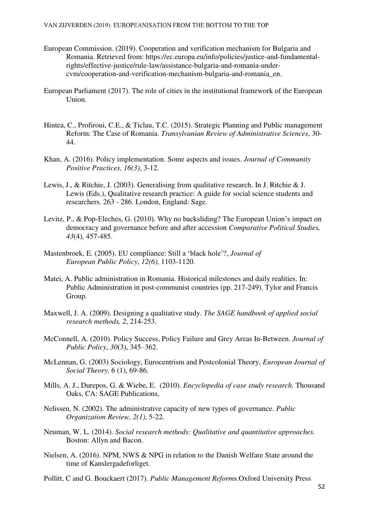- European Commission. (2019). Cooperation and verification mechanism for Bulgaria and Romania. Retrieved from: https://ec.europa.eu/info/policies/justice-and-fundamentalrights/effective-justice/rule-law/assistance-bulgaria-and-romania-undercvm/cooperation-and-verification-mechanism-bulgaria-and-romania\_en.
- European Parliament (2017). The role of cities in the institutional framework of the European Union.
- Hintea, C., Profiroui, C.E., & Ticlau, T.C. (2015). Strategic Planning and Public management Reform: The Case of Romania. *Transylvanian Review of Administrative Sciences*, 30- 44.
- Khan, A. (2016). Policy implementation. Some aspects and issues. *Journal of Community Positive Practices, 16(3)*, 3-12.
- Lewis, J., & Ritchie, J. (2003). [Generalising from qualitative research.](https://mthoyibi.files.wordpress.com/2011/10/qualitative-research-practice_a-guide-for-social-science-students-and-researchers_jane-ritchie-and-jane-lewis-eds_20031.pdf) In J. Ritchie & J. Lewis (Eds.), Qualitative research practice: A guide for social science students and researchers. 263 - 286. London, England: Sage.
- Levitz, P., & Pop-Eleches, G. (2010). Why no backsliding? The European Union's impact on democracy and governance before and after accession *Comparative Political Studies, 43*(4), 457-485.
- Mastenbroek, E. (2005). EU compliance: Still a 'black hole'?, *Journal of European Public Policy*, *12(6)*, 1103-1120.
- Matei, A. Public administration in Romania. Historical milestones and daily realities. In: Public Administration in post-communist countries (pp. 217-249). Tylor and Francis Group.
- Maxwell, J. A. (2009). Designing a qualitative study. *The SAGE handbook of applied social research methods, 2*, 214-253.
- McConnell, A. (2010). Policy Success, Policy Failure and Grey Areas In-Between. *Journal of Public Policy*, *30*(3), 345–362.
- McLennan, G. (2003) Sociology, Eurocentrism and Postcolonial Theory, *European Journal of Social Theory,* 6 (1), 69-86.
- Mills, A. J., Durepos, G. & Wiebe, E. (2010). *Encyclopedia of case study research.* Thousand Oaks, CA: SAGE Publications,
- Nelissen, N. (2002). The administrative capacity of new types of governance. *Public Organization Review, 2(1)*, 5-22.
- Neuman, W. L. (2014). *Social research methods: Qualitative and quantitative approaches.* Boston: Allyn and Bacon.
- Nielsen, A. (2016). NPM, NWS & NPG in relation to the Danish Welfare State around the time of Kanslergadeforliget.
- Pollitt, C and G. Bouckaert (2017). *Public Management Reform*s.Oxford University Press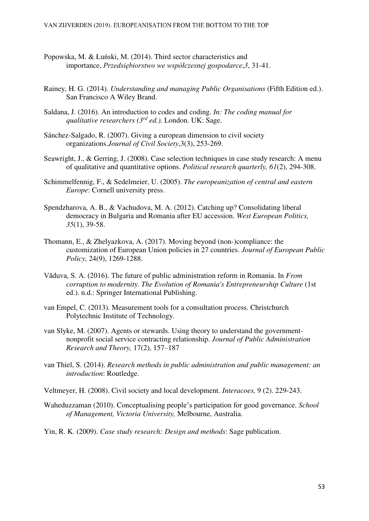- Popowska, M. & Łuński, M. (2014). Third sector characteristics and importance, *Przedsiębiorstwo we współczesnej gospodarce*,*3*, 31-41.
- Rainey, H. G. (2014). *Understanding and managing Public Organisations* (Fifth Edition ed.). San Francisco A Wiley Brand.
- Saldana, J. (2016). An introduction to codes and coding. *In: The coding manual for qualitative researchers (3rd ed.).* London. UK: Sage.
- Sánchez-Salgado, R. (2007). Giving a european dimension to civil society organizations.*Journal of Civil Society*,3(3), 253-269.
- Seawright, J., & Gerring, J. (2008). Case selection techniques in case study research: A menu of qualitative and quantitative options. *Political research quarterly, 61*(2), 294-308.
- Schimmelfennig, F., & Sedelmeier, U. (2005). *The europeanization of central and eastern Europe*: Cornell university press.
- Spendzharova, A. B., & Vachudova, M. A. (2012). Catching up? Consolidating liberal democracy in Bulgaria and Romania after EU accession. *West European Politics, 35*(1), 39-58.
- Thomann, E., & Zhelyazkova, A. (2017). Moving beyond (non-)compliance: the customization of European Union policies in 27 countries. *Journal of European Public Policy,* 24(9), 1269-1288.
- Văduva, S. A. (2016). The future of public administration reform in Romania. In *From corruption to modernity. The Evolution of Romania's Entrepreneurship Culture* (1st ed.). n.d.: Springer International Publishing.
- van Empel, C. (2013). Measurement tools for a consultation process. Christchurch Polytechnic Institute of Technology.
- van Slyke, M. (2007). Agents or stewards. Using theory to understand the governmentnonprofit social service contracting relationship. *Journal of Public Administration Research and Theory,* 17(2), 157–187
- van Thiel, S. (2014). *Research methods in public administration and public management: an introduction*: Routledge.
- Veltmeyer, H. (2008). Civil society and local development. *Interacoes,* 9 (2). 229-243.
- Waheduzzaman (2010). Conceptualising people's participation for good governance. *School of Management, Victoria University,* Melbourne, Australia.
- <span id="page-53-0"></span>Yin, R. K. (2009). *Case study research: Design and methods*: Sage publication.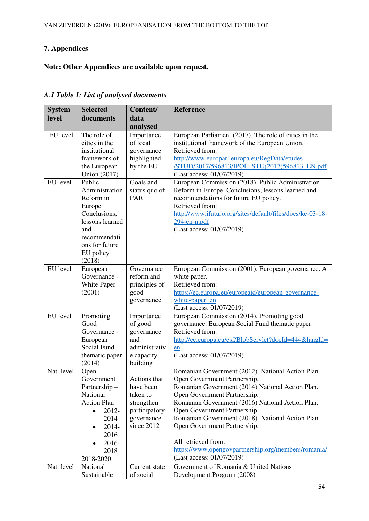# **7. Appendices**

# **Note: Other Appendices are available upon request.**

|  |  |  |  |  |  | A.1 Table 1: List of analysed documents |
|--|--|--|--|--|--|-----------------------------------------|
|--|--|--|--|--|--|-----------------------------------------|

| <b>System</b> | <b>Selected</b>          | Content/                    | <b>Reference</b>                                                                            |
|---------------|--------------------------|-----------------------------|---------------------------------------------------------------------------------------------|
| level         | documents                | data                        |                                                                                             |
|               |                          | analysed                    |                                                                                             |
| EU level      | The role of              | Importance                  | European Parliament (2017). The role of cities in the                                       |
|               | cities in the            | of local                    | institutional framework of the European Union.                                              |
|               | institutional            | governance                  | Retrieved from:                                                                             |
|               | framework of             | highlighted                 | http://www.europarl.europa.eu/RegData/etudes                                                |
|               | the European             | by the EU                   | /STUD/2017/596813/IPOL_STU(2017)596813_EN.pdf                                               |
|               | <b>Union</b> (2017)      |                             | (Last access: 01/07/2019)                                                                   |
| EU level      | Public<br>Administration | Goals and                   | European Commission (2018). Public Administration                                           |
|               | Reform in                | status quo of<br>PAR        | Reform in Europe. Conclusions, lessons learned and<br>recommendations for future EU policy. |
|               | Europe                   |                             | Retrieved from:                                                                             |
|               | Conclusions,             |                             | http://www.ifuturo.org/sites/default/files/docs/ke-03-18-                                   |
|               | lessons learned          |                             | $294$ -en-n.pdf                                                                             |
|               | and                      |                             | (Last access: 01/07/2019)                                                                   |
|               | recommendati             |                             |                                                                                             |
|               | ons for future           |                             |                                                                                             |
|               | EU policy                |                             |                                                                                             |
|               | (2018)                   |                             |                                                                                             |
| EU level      | European                 | Governance                  | European Commission (2001). European governance. A                                          |
|               | Governance -             | reform and                  | white paper.                                                                                |
|               | White Paper              | principles of               | Retrieved from:                                                                             |
|               | (2001)                   | good<br>governance          | https://ec.europa.eu/europeaid/european-governance-<br>white-paper_en                       |
|               |                          |                             | (Last access: 01/07/2019)                                                                   |
| EU level      | Promoting                | Importance                  | European Commission (2014). Promoting good                                                  |
|               | Good                     | of good                     | governance. European Social Fund thematic paper.                                            |
|               | Governance -             | governance                  | Retrieved from:                                                                             |
|               | European                 | and                         | http://ec.europa.eu/esf/BlobServlet?docId=444&langId=                                       |
|               | Social Fund              | administrativ               | en                                                                                          |
|               | thematic paper           | e capacity                  | (Last access: 01/07/2019)                                                                   |
|               | (2014)                   | building                    |                                                                                             |
| Nat. level    | Open                     |                             | Romanian Government (2012). National Action Plan.                                           |
|               | Government               | Actions that                | Open Government Partnership.                                                                |
|               | Partnership-<br>National | have been<br>taken to       | Romanian Government (2014) National Action Plan.                                            |
|               | <b>Action Plan</b>       |                             | Open Government Partnership.<br>Romanian Government (2016) National Action Plan.            |
|               | 2012-<br>$\bullet$       | strengthen<br>participatory | Open Government Partnership.                                                                |
|               | 2014                     | governance                  | Romanian Government (2018). National Action Plan.                                           |
|               | 2014-                    | since 2012                  | Open Government Partnership.                                                                |
|               | 2016                     |                             |                                                                                             |
|               | 2016-                    |                             | All retrieved from:                                                                         |
|               | 2018                     |                             | https://www.opengovpartnership.org/members/romania/                                         |
|               | 2018-2020                |                             | (Last access: 01/07/2019)                                                                   |
| Nat. level    | National                 | Current state               | Government of Romania & United Nations                                                      |
|               | Sustainable              | of social                   | Development Program (2008)                                                                  |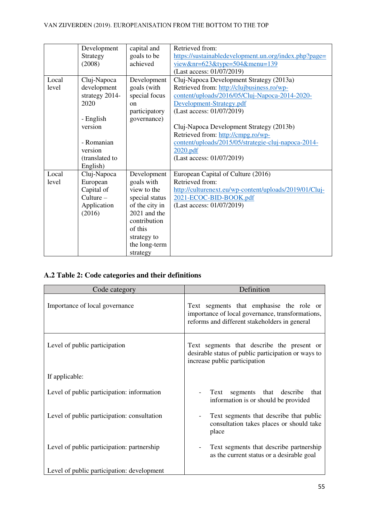|       | Development    | capital and    | Retrieved from:                                        |
|-------|----------------|----------------|--------------------------------------------------------|
|       | Strategy       | goals to be    | https://sustainabledevelopment.un.org/index.php?page=  |
|       | (2008)         | achieved       | view&nr= $623$ &type= $504$ &menu= $139$               |
|       |                |                | (Last access: 01/07/2019)                              |
| Local | Cluj-Napoca    | Development    | Cluj-Napoca Development Strategy (2013a)               |
| level | development    | goals (with    | Retrieved from: http://clujbusiness.ro/wp-             |
|       | strategy 2014- | special focus  | content/uploads/2016/05/Cluj-Napoca-2014-2020-         |
|       | 2020           | $_{\rm on}$    | Development-Strategy.pdf                               |
|       |                | participatory  | (Last access: 01/07/2019)                              |
|       | - English      | governance)    |                                                        |
|       | version        |                | Cluj-Napoca Development Strategy (2013b)               |
|       |                |                | Retrieved from: http://cmpg.ro/wp-                     |
|       | - Romanian     |                | content/uploads/2015/05/strategie-cluj-napoca-2014-    |
|       | version        |                | 2020.pdf                                               |
|       | (translated to |                | (Last access: 01/07/2019)                              |
|       | English)       |                |                                                        |
| Local | Cluj-Napoca    | Development    | European Capital of Culture (2016)                     |
| level | European       | goals with     | Retrieved from:                                        |
|       | Capital of     | view to the    | http://culturenext.eu/wp-content/uploads/2019/01/Cluj- |
|       | $Culture-$     | special status | 2021-ECOC-BID-BOOK.pdf                                 |
|       | Application    | of the city in | (Last access: 01/07/2019)                              |
|       | (2016)         | 2021 and the   |                                                        |
|       |                | contribution   |                                                        |
|       |                | of this        |                                                        |
|       |                | strategy to    |                                                        |
|       |                | the long-term  |                                                        |
|       |                | strategy       |                                                        |

## **A.2 Table 2: Code categories and their definitions**

| Code category                               | Definition                                                                                                                                    |
|---------------------------------------------|-----------------------------------------------------------------------------------------------------------------------------------------------|
| Importance of local governance              | Text segments that emphasise the role or<br>importance of local governance, transformations,<br>reforms and different stakeholders in general |
| Level of public participation               | Text segments that describe the present or<br>desirable status of public participation or ways to<br>increase public participation            |
| If applicable:                              |                                                                                                                                               |
| Level of public participation: information  | Text<br>segments that describe<br>that<br>information is or should be provided                                                                |
| Level of public participation: consultation | Text segments that describe that public<br>consultation takes places or should take<br>place                                                  |
| Level of public participation: partnership  | Text segments that describe partnership<br>as the current status or a desirable goal                                                          |
| Level of public participation: development  |                                                                                                                                               |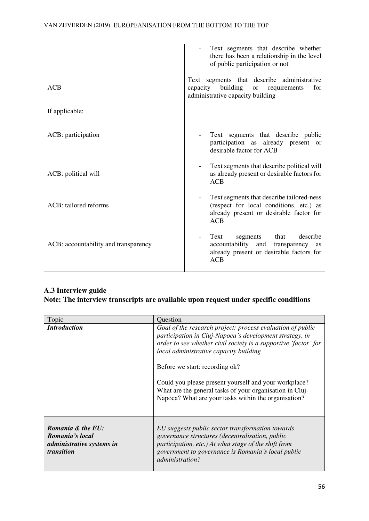|                                      | Text segments that describe whether<br>there has been a relationship in the level<br>of public participation or not                           |
|--------------------------------------|-----------------------------------------------------------------------------------------------------------------------------------------------|
| <b>ACB</b>                           | Text segments that describe administrative<br>capacity building<br>requirements<br>for<br><sub>or</sub><br>administrative capacity building   |
| If applicable:                       |                                                                                                                                               |
| ACB: participation                   | Text segments that describe public<br>participation as already present or<br>desirable factor for ACB                                         |
| ACB: political will                  | Text segments that describe political will<br>as already present or desirable factors for<br>ACB                                              |
| ACB: tailored reforms                | Text segments that describe tailored-ness<br>(respect for local conditions, etc.) as<br>already present or desirable factor for<br><b>ACB</b> |
| ACB: accountability and transparency | Text<br>that<br>describe<br>segments<br>accountability<br>and<br>transparency<br>as<br>already present or desirable factors for<br>ACB        |

## **A.3 Interview guide**

# **Note: The interview transcripts are available upon request under specific conditions**

| Topic                                                                           | Question                                                                                                                                                                                                                                                                                                                                                                                                                                          |
|---------------------------------------------------------------------------------|---------------------------------------------------------------------------------------------------------------------------------------------------------------------------------------------------------------------------------------------------------------------------------------------------------------------------------------------------------------------------------------------------------------------------------------------------|
| <b>Introduction</b>                                                             | Goal of the research project: process evaluation of public<br>participation in Cluj-Napoca's development strategy, in<br>order to see whether civil society is a supportive 'factor' for<br>local administrative capacity building<br>Before we start: recording ok?<br>Could you please present yourself and your workplace?<br>What are the general tasks of your organisation in Cluj-<br>Napoca? What are your tasks within the organisation? |
| Romania & the EU:<br>Romania's local<br>administrative systems in<br>transition | EU suggests public sector transformation towards<br>governance structures (decentralisation, public<br>participation, etc.) At what stage of the shift from<br>government to governance is Romania's local public<br><i>administration?</i>                                                                                                                                                                                                       |